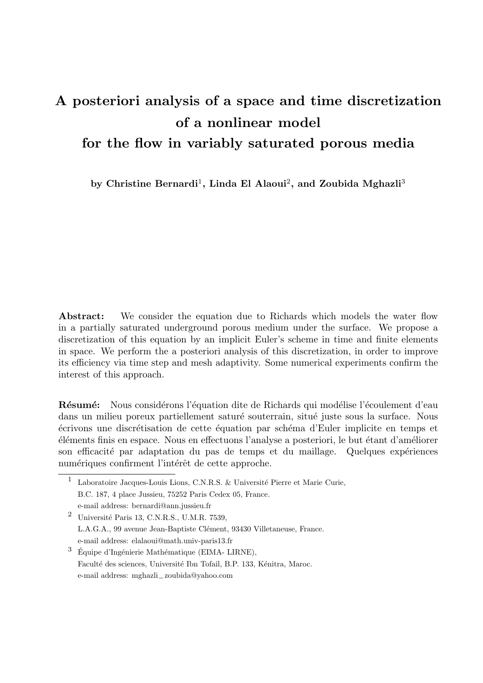# A posteriori analysis of a space and time discretization of a nonlinear model for the flow in variably saturated porous media

by Christine Bernardi<sup>1</sup>, Linda El Alaoui<sup>2</sup>, and Zoubida Mghazli<sup>3</sup>

Abstract: We consider the equation due to Richards which models the water flow in a partially saturated underground porous medium under the surface. We propose a discretization of this equation by an implicit Euler's scheme in time and finite elements in space. We perform the a posteriori analysis of this discretization, in order to improve its efficiency via time step and mesh adaptivity. Some numerical experiments confirm the interest of this approach.

**Résumé:** Nous considérons l'équation dite de Richards qui modélise l'écoulement d'eau dans un milieu poreux partiellement saturé souterrain, situé juste sous la surface. Nous  $\acute{e}$ crivons une discrétisation de cette équation par schéma d'Euler implicite en temps et  $'$ éléments finis en espace. Nous en effectuons l'analyse a posteriori, le but étant d'améliorer son efficacité par adaptation du pas de temps et du maillage. Quelques expériences numériques confirment l'intérêt de cette approche.

 $^2$  Université Paris 13, C.N.R.S., U.M.R. 7539, L.A.G.A., 99 avenue Jean-Baptiste Clément, 93430 Villetaneuse, France. e-mail address: elalaoui@math.univ-paris13.fr

<sup>&</sup>lt;sup>1</sup> Laboratoire Jacques-Louis Lions, C.N.R.S. & Université Pierre et Marie Curie, B.C. 187, 4 place Jussieu, 75252 Paris Cedex 05, France. e-mail address: bernardi@ann.jussieu.fr

 $3\text{ Équipe d'Ingénierie Mathématique (EIMA-LIRNE),}$ Faculté des sciences, Université Ibn Tofail, B.P. 133, Kénitra, Maroc. e-mail address: mghazli−zoubida@yahoo.com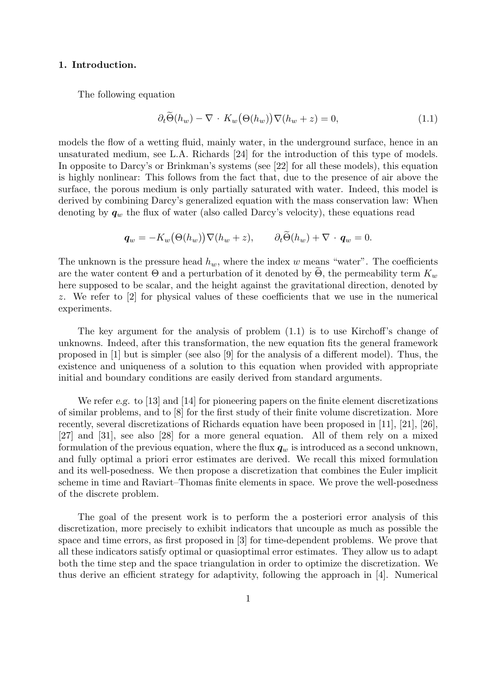#### 1. Introduction.

The following equation

$$
\partial_t \widetilde{\Theta}(h_w) - \nabla \cdot K_w \big(\Theta(h_w)\big) \nabla(h_w + z) = 0,\tag{1.1}
$$

models the flow of a wetting fluid, mainly water, in the underground surface, hence in an unsaturated medium, see L.A. Richards [24] for the introduction of this type of models. In opposite to Darcy's or Brinkman's systems (see [22] for all these models), this equation is highly nonlinear: This follows from the fact that, due to the presence of air above the surface, the porous medium is only partially saturated with water. Indeed, this model is derived by combining Darcy's generalized equation with the mass conservation law: When denoting by  $q_w$  the flux of water (also called Darcy's velocity), these equations read

$$
\boldsymbol{q}_w = -K_w\big(\Theta(h_w)\big)\nabla(h_w+z), \qquad \partial_t\Theta(h_w)+\nabla\cdot\boldsymbol{q}_w=0.
$$

The unknown is the pressure head  $h_w$ , where the index w means "water". The coefficients are the water content  $\Theta$  and a perturbation of it denoted by  $\Theta$ , the permeability term  $K_w$ here supposed to be scalar, and the height against the gravitational direction, denoted by z. We refer to [2] for physical values of these coefficients that we use in the numerical experiments.

The key argument for the analysis of problem (1.1) is to use Kirchoff's change of unknowns. Indeed, after this transformation, the new equation fits the general framework proposed in [1] but is simpler (see also [9] for the analysis of a different model). Thus, the existence and uniqueness of a solution to this equation when provided with appropriate initial and boundary conditions are easily derived from standard arguments.

We refer e.g. to [13] and [14] for pioneering papers on the finite element discretizations of similar problems, and to [8] for the first study of their finite volume discretization. More recently, several discretizations of Richards equation have been proposed in [11], [21], [26], [27] and [31], see also [28] for a more general equation. All of them rely on a mixed formulation of the previous equation, where the flux  $q_w$  is introduced as a second unknown, and fully optimal a priori error estimates are derived. We recall this mixed formulation and its well-posedness. We then propose a discretization that combines the Euler implicit scheme in time and Raviart–Thomas finite elements in space. We prove the well-posedness of the discrete problem.

The goal of the present work is to perform the a posteriori error analysis of this discretization, more precisely to exhibit indicators that uncouple as much as possible the space and time errors, as first proposed in [3] for time-dependent problems. We prove that all these indicators satisfy optimal or quasioptimal error estimates. They allow us to adapt both the time step and the space triangulation in order to optimize the discretization. We thus derive an efficient strategy for adaptivity, following the approach in [4]. Numerical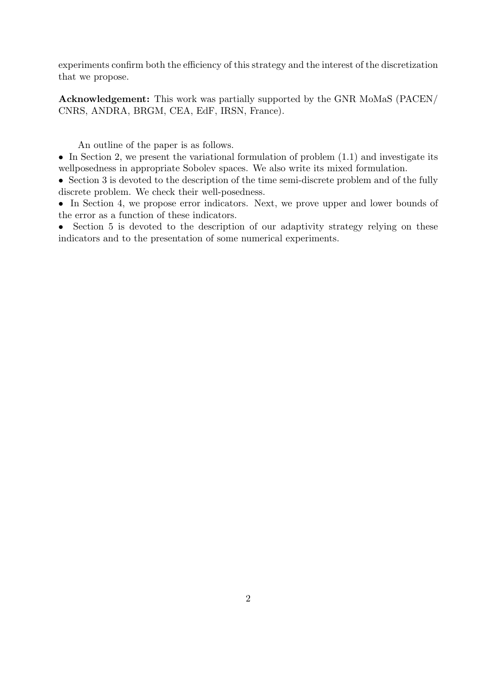experiments confirm both the efficiency of this strategy and the interest of the discretization that we propose.

Acknowledgement: This work was partially supported by the GNR MoMaS (PACEN/ CNRS, ANDRA, BRGM, CEA, EdF, IRSN, France).

An outline of the paper is as follows.

• In Section 2, we present the variational formulation of problem  $(1.1)$  and investigate its wellposedness in appropriate Sobolev spaces. We also write its mixed formulation.

• Section 3 is devoted to the description of the time semi-discrete problem and of the fully discrete problem. We check their well-posedness.

• In Section 4, we propose error indicators. Next, we prove upper and lower bounds of the error as a function of these indicators.

• Section 5 is devoted to the description of our adaptivity strategy relying on these indicators and to the presentation of some numerical experiments.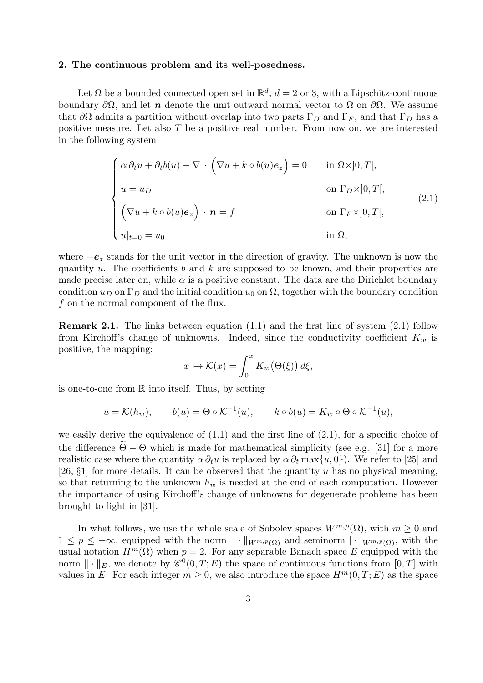#### 2. The continuous problem and its well-posedness.

Let  $\Omega$  be a bounded connected open set in  $\mathbb{R}^d$ ,  $d=2$  or 3, with a Lipschitz-continuous boundary  $\partial\Omega$ , and let n denote the unit outward normal vector to  $\Omega$  on  $\partial\Omega$ . We assume that  $\partial\Omega$  admits a partition without overlap into two parts  $\Gamma_D$  and  $\Gamma_F$ , and that  $\Gamma_D$  has a positive measure. Let also T be a positive real number. From now on, we are interested in the following system

$$
\begin{cases}\n\alpha \partial_t u + \partial_t b(u) - \nabla \cdot (\nabla u + k \circ b(u)e_z) = 0 & \text{in } \Omega \times ]0, T], \\
u = u_D & \text{on } \Gamma_D \times ]0, T], \\
(\nabla u + k \circ b(u)e_z) \cdot \mathbf{n} = f & \text{on } \Gamma_F \times ]0, T], \\
u|_{t=0} = u_0 & \text{in } \Omega,\n\end{cases}
$$
\n(2.1)

where  $-e_z$  stands for the unit vector in the direction of gravity. The unknown is now the quantity u. The coefficients b and k are supposed to be known, and their properties are made precise later on, while  $\alpha$  is a positive constant. The data are the Dirichlet boundary condition  $u_D$  on  $\Gamma_D$  and the initial condition  $u_0$  on  $\Omega$ , together with the boundary condition f on the normal component of the flux.

Remark 2.1. The links between equation (1.1) and the first line of system (2.1) follow from Kirchoff's change of unknowns. Indeed, since the conductivity coefficient  $K_w$  is positive, the mapping:

$$
x \mapsto \mathcal{K}(x) = \int_0^x K_w(\Theta(\xi)) d\xi,
$$

is one-to-one from  $\mathbb R$  into itself. Thus, by setting

$$
u = \mathcal{K}(h_w),
$$
  $b(u) = \Theta \circ \mathcal{K}^{-1}(u),$   $k \circ b(u) = K_w \circ \Theta \circ \mathcal{K}^{-1}(u),$ 

we easily derive the equivalence of  $(1.1)$  and the first line of  $(2.1)$ , for a specific choice of the difference  $\Theta - \Theta$  which is made for mathematical simplicity (see e.g. [31] for a more realistic case where the quantity  $\alpha \partial_t u$  is replaced by  $\alpha \partial_t \max\{u, 0\}$ . We refer to [25] and [26,  $\S1$ ] for more details. It can be observed that the quantity u has no physical meaning, so that returning to the unknown  $h_w$  is needed at the end of each computation. However the importance of using Kirchoff's change of unknowns for degenerate problems has been brought to light in [31].

In what follows, we use the whole scale of Sobolev spaces  $W^{m,p}(\Omega)$ , with  $m \geq 0$  and  $1 \leq p \leq +\infty$ , equipped with the norm  $\|\cdot\|_{W^{m,p}(\Omega)}$  and seminorm  $|\cdot|_{W^{m,p}(\Omega)}$ , with the usual notation  $H^m(\Omega)$  when  $p = 2$ . For any separable Banach space E equipped with the norm  $\|\cdot\|_E$ , we denote by  $\mathscr{C}^0(0,T;E)$  the space of continuous functions from  $[0,T]$  with values in E. For each integer  $m > 0$ , we also introduce the space  $H^m(0, T; E)$  as the space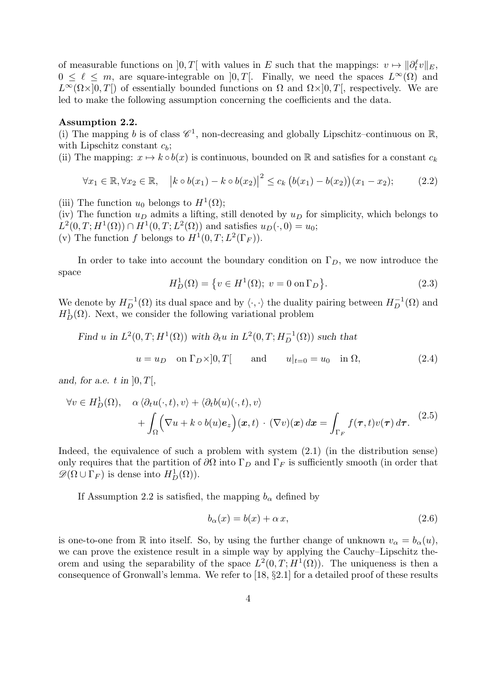of measurable functions on  $]0,T[$  with values in E such that the mappings:  $v \mapsto ||\partial_t^{\ell}v||_E$ ,  $0 \leq \ell \leq m$ , are square-integrable on  $]0,T[$ . Finally, we need the spaces  $L^{\infty}(\Omega)$  and  $L^{\infty}(\Omega\times]0,T$  of essentially bounded functions on  $\Omega$  and  $\Omega\times]0,T$ , respectively. We are led to make the following assumption concerning the coefficients and the data.

#### Assumption 2.2.

(i) The mapping b is of class  $\mathscr{C}^1$ , non-decreasing and globally Lipschitz–continuous on R, with Lipschitz constant  $c_b$ ;

(ii) The mapping:  $x \mapsto k \circ b(x)$  is continuous, bounded on R and satisfies for a constant  $c_k$ 

$$
\forall x_1 \in \mathbb{R}, \forall x_2 \in \mathbb{R}, \quad \left| k \circ b(x_1) - k \circ b(x_2) \right|^2 \le c_k \left( b(x_1) - b(x_2) \right) (x_1 - x_2); \tag{2.2}
$$

(iii) The function  $u_0$  belongs to  $H^1(\Omega)$ ;

(iv) The function  $u_D$  admits a lifting, still denoted by  $u_D$  for simplicity, which belongs to  $L^2(0,T;H^1(\Omega)) \cap H^1(0,T;L^2(\Omega))$  and satisfies  $u_D(\cdot,0) = u_0$ ; (v) The function f belongs to  $H^1(0,T; L^2(\Gamma_F))$ .

In order to take into account the boundary condition on  $\Gamma_D$ , we now introduce the space

$$
H_D^1(\Omega) = \{ v \in H^1(\Omega); \ v = 0 \text{ on } \Gamma_D \}. \tag{2.3}
$$

We denote by  $H_D^{-1}(\Omega)$  its dual space and by  $\langle \cdot, \cdot \rangle$  the duality pairing between  $H_D^{-1}(\Omega)$  and  $H_D^1(\Omega)$ . Next, we consider the following variational problem

Find 
$$
u
$$
 in  $L^2(0, T; H^1(\Omega))$  with  $\partial_t u$  in  $L^2(0, T; H_D^{-1}(\Omega))$  such that  
\n
$$
u = u_D \quad \text{on } \Gamma_D \times ]0, T[ \quad \text{and} \quad u|_{t=0} = u_0 \quad \text{in } \Omega,
$$
\n(2.4)

and, for a.e. t in  $[0, T]$ ,

$$
\forall v \in H_D^1(\Omega), \quad \alpha \langle \partial_t u(\cdot, t), v \rangle + \langle \partial_t b(u)(\cdot, t), v \rangle + \int_{\Omega} \Big( \nabla u + k \circ b(u) e_z \Big) (\boldsymbol{x}, t) \cdot (\nabla v)(\boldsymbol{x}) d\boldsymbol{x} = \int_{\Gamma_F} f(\boldsymbol{\tau}, t) v(\boldsymbol{\tau}) d\boldsymbol{\tau}.
$$
 (2.5)

Indeed, the equivalence of such a problem with system (2.1) (in the distribution sense) only requires that the partition of  $\partial\Omega$  into  $\Gamma_D$  and  $\Gamma_F$  is sufficiently smooth (in order that  $\mathscr{D}(\Omega \cup \Gamma_F)$  is dense into  $H_D^1(\Omega)$ ).

If Assumption 2.2 is satisfied, the mapping  $b_{\alpha}$  defined by

$$
b_{\alpha}(x) = b(x) + \alpha x, \qquad (2.6)
$$

is one-to-one from R into itself. So, by using the further change of unknown  $v_{\alpha} = b_{\alpha}(u)$ , we can prove the existence result in a simple way by applying the Cauchy–Lipschitz theorem and using the separability of the space  $L^2(0,T;H^1(\Omega))$ . The uniqueness is then a consequence of Gronwall's lemma. We refer to [18, §2.1] for a detailed proof of these results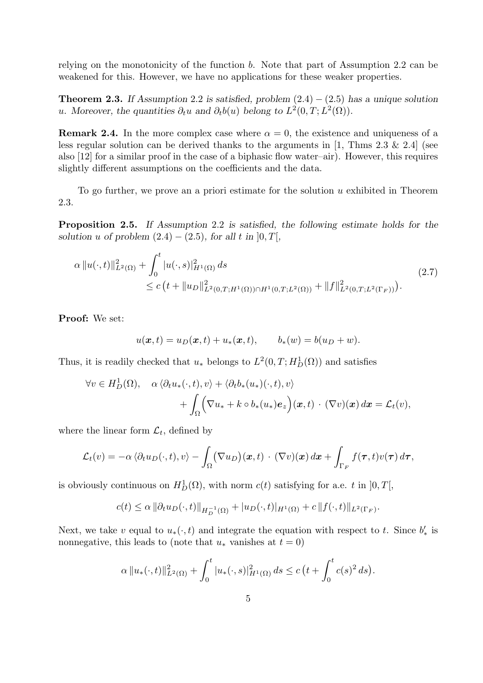relying on the monotonicity of the function b. Note that part of Assumption 2.2 can be weakened for this. However, we have no applications for these weaker properties.

**Theorem 2.3.** If Assumption 2.2 is satisfied, problem  $(2.4) - (2.5)$  has a unique solution u. Moreover, the quantities  $\partial_t u$  and  $\partial_t b(u)$  belong to  $L^2(0,T; L^2(\Omega))$ .

**Remark 2.4.** In the more complex case where  $\alpha = 0$ , the existence and uniqueness of a less regular solution can be derived thanks to the arguments in  $[1, \text{Thms } 2.3 \& 2.4]$  (see also [12] for a similar proof in the case of a biphasic flow water–air). However, this requires slightly different assumptions on the coefficients and the data.

To go further, we prove an a priori estimate for the solution  $u$  exhibited in Theorem 2.3.

Proposition 2.5. If Assumption 2.2 is satisfied, the following estimate holds for the solution u of problem  $(2.4) - (2.5)$ , for all t in  $[0, T]$ ,

$$
\alpha \|u(\cdot,t)\|_{L^2(\Omega)}^2 + \int_0^t |u(\cdot,s)|_{H^1(\Omega)}^2 ds
$$
\n
$$
\leq c \left(t + \|u_D\|_{L^2(0,T;H^1(\Omega)) \cap H^1(0,T;L^2(\Omega))}^2 + \|f\|_{L^2(0,T;L^2(\Gamma_F))}^2\right).
$$
\n(2.7)

Proof: We set:

$$
u(\boldsymbol{x},t) = u_D(\boldsymbol{x},t) + u_*(\boldsymbol{x},t), \qquad b_*(w) = b(u_D+w).
$$

Thus, it is readily checked that  $u_*$  belongs to  $L^2(0,T;H^1_D(\Omega))$  and satisfies

$$
\forall v \in H_D^1(\Omega), \quad \alpha \langle \partial_t u_*(\cdot, t), v \rangle + \langle \partial_t b_*(u_*)(\cdot, t), v \rangle + \int_{\Omega} \Big( \nabla u_* + k \circ b_*(u_*) \mathbf{e}_z \Big) (\mathbf{x}, t) \cdot (\nabla v)(\mathbf{x}) d\mathbf{x} = \mathcal{L}_t(v),
$$

where the linear form  $\mathcal{L}_t$ , defined by

$$
\mathcal{L}_t(v) = -\alpha \left\langle \partial_t u_D(\cdot,t), v \right\rangle - \int_{\Omega} (\nabla u_D)(\boldsymbol{x},t) \cdot (\nabla v)(\boldsymbol{x}) \, d\boldsymbol{x} + \int_{\Gamma_F} f(\boldsymbol{\tau},t) v(\boldsymbol{\tau}) \, d\boldsymbol{\tau},
$$

is obviously continuous on  $H_D^1(\Omega)$ , with norm  $c(t)$  satisfying for a.e. t in  $]0,T[$ ,

$$
c(t) \leq \alpha \|\partial_t u_D(\cdot, t)\|_{H_D^{-1}(\Omega)} + |u_D(\cdot, t)|_{H^1(\Omega)} + c \|f(\cdot, t)\|_{L^2(\Gamma_F)}.
$$

Next, we take v equal to  $u_*(\cdot,t)$  and integrate the equation with respect to t. Since  $b'_*$  is nonnegative, this leads to (note that  $u_*$  vanishes at  $t = 0$ )

$$
\alpha \|u_{*}(\cdot,t)\|_{L^{2}(\Omega)}^{2} + \int_{0}^{t} |u_{*}(\cdot,s)|_{H^{1}(\Omega)}^{2} ds \leq c \left(t + \int_{0}^{t} c(s)^{2} ds\right).
$$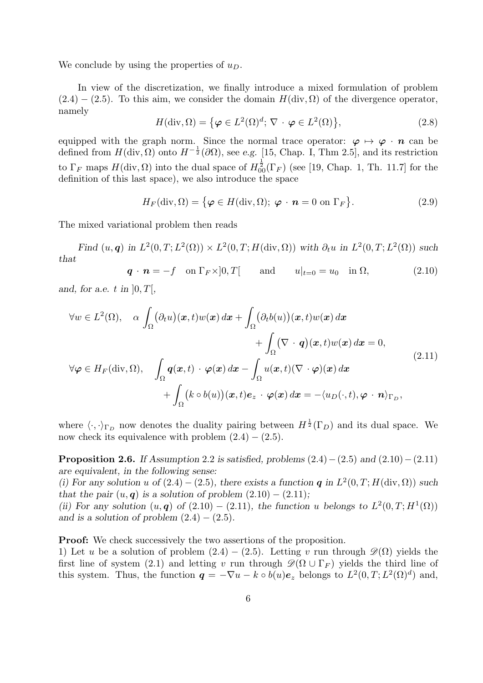We conclude by using the properties of  $u_D$ .

In view of the discretization, we finally introduce a mixed formulation of problem  $(2.4) - (2.5)$ . To this aim, we consider the domain  $H(\text{div}, \Omega)$  of the divergence operator, namely

$$
H(\text{div}, \Omega) = \{ \varphi \in L^{2}(\Omega)^{d}; \, \nabla \cdot \varphi \in L^{2}(\Omega) \},\tag{2.8}
$$

equipped with the graph norm. Since the normal trace operator:  $\varphi \mapsto \varphi \cdot n$  can be defined from  $H(\text{div}, \Omega)$  onto  $H^{-\frac{1}{2}}(\partial \Omega)$ , see e.g. [15, Chap. I, Thm 2.5], and its restriction to  $\Gamma_F$  maps  $H(\text{div}, \Omega)$  into the dual space of  $H^{\frac{1}{2}}_{00}(\Gamma_F)$  (see [19, Chap. 1, Th. 11.7] for the definition of this last space), we also introduce the space

$$
H_F(\text{div}, \Omega) = \{ \boldsymbol{\varphi} \in H(\text{div}, \Omega); \ \boldsymbol{\varphi} \cdot \boldsymbol{n} = 0 \text{ on } \Gamma_F \}. \tag{2.9}
$$

The mixed variational problem then reads

Find  $(u, q)$  in  $L^2(0,T; L^2(\Omega)) \times L^2(0,T; H(\text{div}, \Omega))$  with  $\partial_t u$  in  $L^2(0,T; L^2(\Omega))$  such that

$$
\mathbf{q} \cdot \mathbf{n} = -f \quad \text{on } \Gamma_F \times ]0, T[ \qquad \text{and} \qquad u|_{t=0} = u_0 \quad \text{in } \Omega,
$$
 (2.10)

and, for a.e. t in  $[0, T]$ ,

$$
\forall w \in L^{2}(\Omega), \quad \alpha \int_{\Omega} (\partial_{t}u)(x,t)w(x) dx + \int_{\Omega} (\partial_{t}b(u))(x,t)w(x) dx + \int_{\Omega} (\nabla \cdot \mathbf{q})(x,t)w(x) dx = 0,
$$
  

$$
\forall \varphi \in H_{F}(\text{div}, \Omega), \quad \int_{\Omega} \mathbf{q}(x,t) \cdot \varphi(x) dx - \int_{\Omega} u(x,t)(\nabla \cdot \varphi)(x) dx + \int_{\Omega} (k \circ b(u))(x,t)e_{z} \cdot \varphi(x) dx = -\langle u_{D}(\cdot,t), \varphi \cdot \mathbf{n} \rangle_{\Gamma_{D}},
$$
\n(2.11)

where  $\langle \cdot, \cdot \rangle_{\Gamma_D}$  now denotes the duality pairing between  $H^{\frac{1}{2}}(\Gamma_D)$  and its dual space. We now check its equivalence with problem  $(2.4) - (2.5)$ .

**Proposition 2.6.** If Assumption 2.2 is satisfied, problems  $(2.4) - (2.5)$  and  $(2.10) - (2.11)$ are equivalent, in the following sense:

(i) For any solution u of  $(2.4) - (2.5)$ , there exists a function q in  $L^2(0,T;H(\text{div},\Omega))$  such that the pair  $(u, q)$  is a solution of problem  $(2.10) - (2.11)$ ;

(ii) For any solution  $(u, q)$  of  $(2.10) - (2.11)$ , the function u belongs to  $L^2(0,T; H^1(\Omega))$ and is a solution of problem  $(2.4) - (2.5)$ .

**Proof:** We check successively the two assertions of the proposition.

1) Let u be a solution of problem  $(2.4) - (2.5)$ . Letting v run through  $\mathscr{D}(\Omega)$  yields the first line of system (2.1) and letting v run through  $\mathscr{D}(\Omega \cup \Gamma_F)$  yields the third line of this system. Thus, the function  $q = -\nabla u - k \circ b(u)e_z$  belongs to  $L^2(0,T; L^2(\Omega)^d)$  and,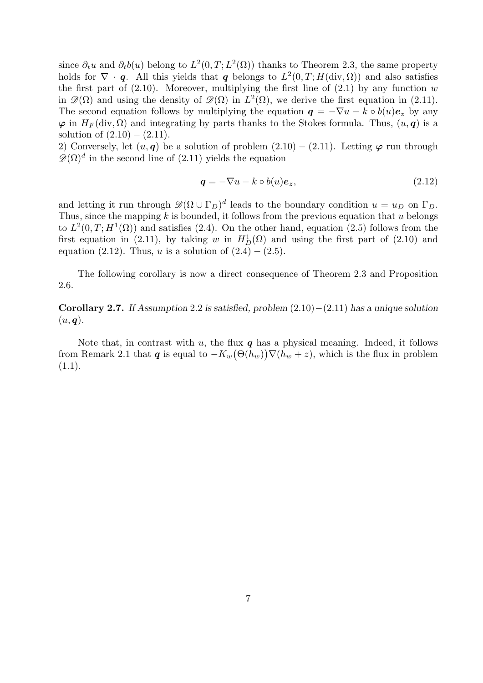since  $\partial_t u$  and  $\partial_t b(u)$  belong to  $L^2(0,T;L^2(\Omega))$  thanks to Theorem 2.3, the same property holds for  $\nabla \cdot \boldsymbol{q}$ . All this yields that  $\boldsymbol{q}$  belongs to  $L^2(0,T;H(\text{div},\Omega))$  and also satisfies the first part of  $(2.10)$ . Moreover, multiplying the first line of  $(2.1)$  by any function w in  $\mathscr{D}(\Omega)$  and using the density of  $\mathscr{D}(\Omega)$  in  $L^2(\Omega)$ , we derive the first equation in (2.11). The second equation follows by multiplying the equation  $q = -\nabla u - k \circ b(u)e_z$  by any  $\varphi$  in  $H_F(\text{div}, \Omega)$  and integrating by parts thanks to the Stokes formula. Thus,  $(u, \varphi)$  is a solution of  $(2.10) - (2.11)$ .

2) Conversely, let  $(u, q)$  be a solution of problem  $(2.10) - (2.11)$ . Letting  $\varphi$  run through  $\mathscr{D}(\Omega)$ <sup>d</sup> in the second line of (2.11) yields the equation

$$
\mathbf{q} = -\nabla u - k \circ b(u)\mathbf{e}_z,\tag{2.12}
$$

and letting it run through  $\mathscr{D}(\Omega \cup \Gamma_D)^d$  leads to the boundary condition  $u = u_D$  on  $\Gamma_D$ . Thus, since the mapping k is bounded, it follows from the previous equation that u belongs to  $L^2(0,T;H^1(\Omega))$  and satisfies (2.4). On the other hand, equation (2.5) follows from the first equation in (2.11), by taking w in  $H_D^1(\Omega)$  and using the first part of (2.10) and equation (2.12). Thus, u is a solution of  $(2.4) - (2.5)$ .

The following corollary is now a direct consequence of Theorem 2.3 and Proposition 2.6.

Corollary 2.7. If Assumption 2.2 is satisfied, problem  $(2.10)–(2.11)$  has a unique solution  $(u, \boldsymbol{q})$ .

Note that, in contrast with u, the flux  $q$  has a physical meaning. Indeed, it follows from Remark 2.1 that q is equal to  $-K_w(\Theta(h_w))\nabla(h_w+z)$ , which is the flux in problem  $(1.1).$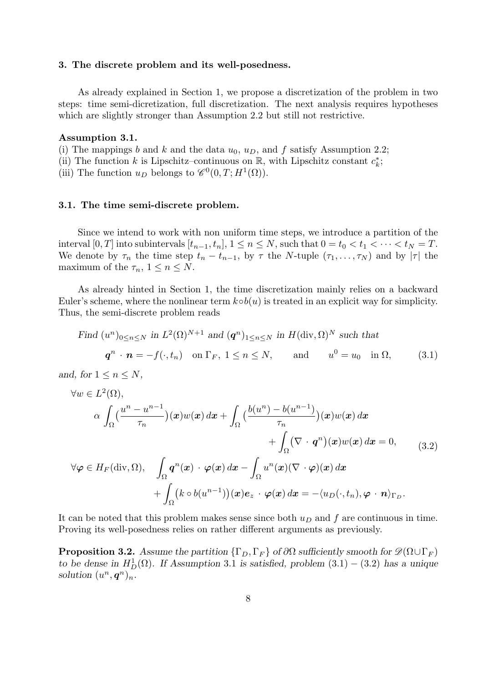#### 3. The discrete problem and its well-posedness.

As already explained in Section 1, we propose a discretization of the problem in two steps: time semi-dicretization, full discretization. The next analysis requires hypotheses which are slightly stronger than Assumption 2.2 but still not restrictive.

#### Assumption 3.1.

(i) The mappings b and k and the data  $u_0$ ,  $u_D$ , and f satisfy Assumption 2.2;

(ii) The function k is Lipschitz–continuous on  $\mathbb{R}$ , with Lipschitz constant  $c_k^*$ ;

(iii) The function  $u_D$  belongs to  $\mathscr{C}^0(0,T;H^1(\Omega))$ .

#### 3.1. The time semi-discrete problem.

Since we intend to work with non uniform time steps, we introduce a partition of the interval [0, T] into subintervals  $[t_{n-1}, t_n]$ ,  $1 \le n \le N$ , such that  $0 = t_0 < t_1 < \cdots < t_N = T$ . We denote by  $\tau_n$  the time step  $t_n - t_{n-1}$ , by  $\tau$  the N-tuple  $(\tau_1, \ldots, \tau_N)$  and by  $|\tau|$  the maximum of the  $\tau_n$ ,  $1 \leq n \leq N$ .

As already hinted in Section 1, the time discretization mainly relies on a backward Euler's scheme, where the nonlinear term  $k \circ b(u)$  is treated in an explicit way for simplicity. Thus, the semi-discrete problem reads

Find 
$$
(u^n)_{0 \le n \le N}
$$
 in  $L^2(\Omega)^{N+1}$  and  $(\mathbf{q}^n)_{1 \le n \le N}$  in  $H(\text{div}, \Omega)^N$  such that  
\n $\mathbf{q}^n \cdot \mathbf{n} = -f(\cdot, t_n)$  on  $\Gamma_F$ ,  $1 \le n \le N$ , and  $u^0 = u_0$  in  $\Omega$ , (3.1)

and, for  $1 \leq n \leq N$ ,

$$
\forall w \in L^{2}(\Omega),
$$
  
\n
$$
\alpha \int_{\Omega} \left( \frac{u^{n} - u^{n-1}}{\tau_{n}} \right) (\boldsymbol{x}) w(\boldsymbol{x}) d\boldsymbol{x} + \int_{\Omega} \left( \frac{b(u^{n}) - b(u^{n-1})}{\tau_{n}} \right) (\boldsymbol{x}) w(\boldsymbol{x}) d\boldsymbol{x} + \int_{\Omega} \left( \nabla \cdot \boldsymbol{q}^{n} \right) (\boldsymbol{x}) w(\boldsymbol{x}) d\boldsymbol{x} = 0,
$$
\n
$$
\forall \varphi \in H_{F}(\text{div}, \Omega), \quad \int_{\Omega} \boldsymbol{q}^{n}(\boldsymbol{x}) \cdot \varphi(\boldsymbol{x}) d\boldsymbol{x} - \int_{\Omega} u^{n}(\boldsymbol{x}) (\nabla \cdot \varphi)(\boldsymbol{x}) d\boldsymbol{x} + \int_{\Omega} \left( k \circ b(u^{n-1}) \right) (\boldsymbol{x}) e_{z} \cdot \varphi(\boldsymbol{x}) d\boldsymbol{x} = - \langle u_{D}(\cdot, t_{n}), \varphi \cdot \boldsymbol{n} \rangle_{\Gamma_{D}}.
$$
\n(3.2)

It can be noted that this problem makes sense since both  $u_D$  and f are continuous in time. Proving its well-posedness relies on rather different arguments as previously.

**Proposition 3.2.** Assume the partition  $\{\Gamma_D, \Gamma_F\}$  of  $\partial\Omega$  sufficiently smooth for  $\mathscr{D}(\Omega \cup \Gamma_F)$ to be dense in  $H_D^1(\Omega)$ . If Assumption 3.1 is satisfied, problem  $(3.1) - (3.2)$  has a unique solution  $(u^n, \boldsymbol{q}^n)_n$ .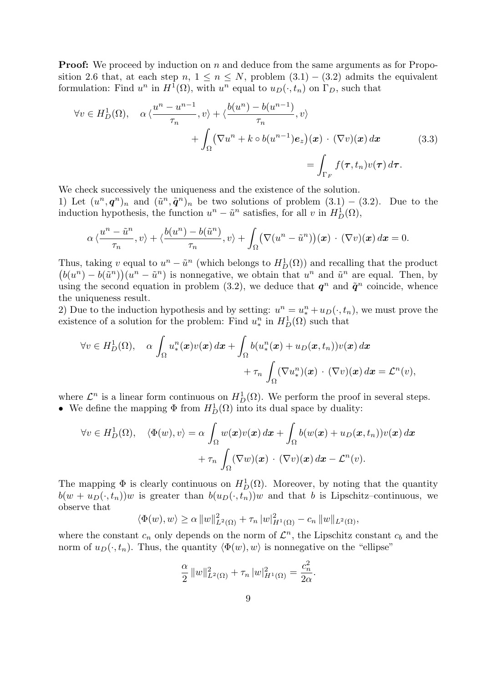**Proof:** We proceed by induction on n and deduce from the same arguments as for Proposition 2.6 that, at each step  $n, 1 \leq n \leq N$ , problem  $(3.1) - (3.2)$  admits the equivalent formulation: Find  $u^n$  in  $H^1(\Omega)$ , with  $u^n$  equal to  $u_D(\cdot, t_n)$  on  $\Gamma_D$ , such that

$$
\forall v \in H_D^1(\Omega), \quad \alpha \langle \frac{u^n - u^{n-1}}{\tau_n}, v \rangle + \langle \frac{b(u^n) - b(u^{n-1})}{\tau_n}, v \rangle
$$

$$
+ \int_{\Omega} (\nabla u^n + k \circ b(u^{n-1}) e_z)(x) \cdot (\nabla v)(x) dx \qquad (3.3)
$$

$$
= \int_{\Gamma_F} f(\tau, t_n) v(\tau) d\tau.
$$

We check successively the uniqueness and the existence of the solution. 1) Let  $(u^n, q^n)_n$  and  $(\tilde{u}^n, \tilde{q}^n)_n$  be two solutions of problem  $(3.1) - (3.2)$ . Due to the induction hypothesis, the function  $u^n - \tilde{u}^n$  satisfies, for all v in  $H_D^1(\Omega)$ ,

$$
\alpha\langle \frac{u^n-\tilde{u}^n}{\tau_n},v\rangle + \langle \frac{b(u^n)-b(\tilde{u}^n)}{\tau_n},v\rangle + \int_{\Omega} \bigl(\nabla(u^n-\tilde{u}^n)\bigr)(\boldsymbol{x})\,\cdot\,(\nabla v)(\boldsymbol{x})\,d\boldsymbol{x} = 0.
$$

Thus, taking v equal to  $u^n - \tilde{u}^n$  (which belongs to  $H_D^1(\Omega)$ ) and recalling that the product  $(b(u^n) - b(\tilde{u}^n))(u^n - \tilde{u}^n)$  is nonnegative, we obtain that  $u^n$  and  $\tilde{u}^n$  are equal. Then, by using the second equation in problem (3.2), we deduce that  $q^n$  and  $\tilde{q}^n$  coincide, whence the uniqueness result.

2) Due to the induction hypothesis and by setting:  $u^n = u^n_* + u_D(\cdot, t_n)$ , we must prove the existence of a solution for the problem: Find  $u_*^n$  in  $H_D^1(\Omega)$  such that

$$
\forall v \in H_D^1(\Omega), \quad \alpha \int_{\Omega} u^n_*(\boldsymbol{x}) v(\boldsymbol{x}) d\boldsymbol{x} + \int_{\Omega} b(u^n_*(\boldsymbol{x}) + u_D(\boldsymbol{x}, t_n)) v(\boldsymbol{x}) d\boldsymbol{x} + \tau_n \int_{\Omega} (\nabla u^n_*)(\boldsymbol{x}) \cdot (\nabla v)(\boldsymbol{x}) d\boldsymbol{x} = \mathcal{L}^n(v),
$$

where  $\mathcal{L}^n$  is a linear form continuous on  $H_D^1(\Omega)$ . We perform the proof in several steps. • We define the mapping  $\Phi$  from  $H_D^1(\Omega)$  into its dual space by duality:

$$
\forall v \in H_D^1(\Omega), \quad \langle \Phi(w), v \rangle = \alpha \int_{\Omega} w(\boldsymbol{x}) v(\boldsymbol{x}) d\boldsymbol{x} + \int_{\Omega} b(w(\boldsymbol{x}) + u_D(\boldsymbol{x}, t_n)) v(\boldsymbol{x}) d\boldsymbol{x} + \tau_n \int_{\Omega} (\nabla w)(\boldsymbol{x}) \cdot (\nabla v)(\boldsymbol{x}) d\boldsymbol{x} - \mathcal{L}^n(v).
$$

The mapping  $\Phi$  is clearly continuous on  $H_D^1(\Omega)$ . Moreover, by noting that the quantity  $b(w + u_D(\cdot, t_n))w$  is greater than  $b(u_D(\cdot, t_n))w$  and that b is Lipschitz–continuous, we observe that

$$
\langle \Phi(w), w \rangle \ge \alpha \|w\|_{L^2(\Omega)}^2 + \tau_n \|w\|_{H^1(\Omega)}^2 - c_n \|w\|_{L^2(\Omega)},
$$

where the constant  $c_n$  only depends on the norm of  $\mathcal{L}^n$ , the Lipschitz constant  $c_b$  and the norm of  $u_D(\cdot, t_n)$ . Thus, the quantity  $\langle \Phi(w), w \rangle$  is nonnegative on the "ellipse"

$$
\frac{\alpha}{2} ||w||_{L^{2}(\Omega)}^{2} + \tau_{n} |w|_{H^{1}(\Omega)}^{2} = \frac{c_{n}^{2}}{2\alpha}.
$$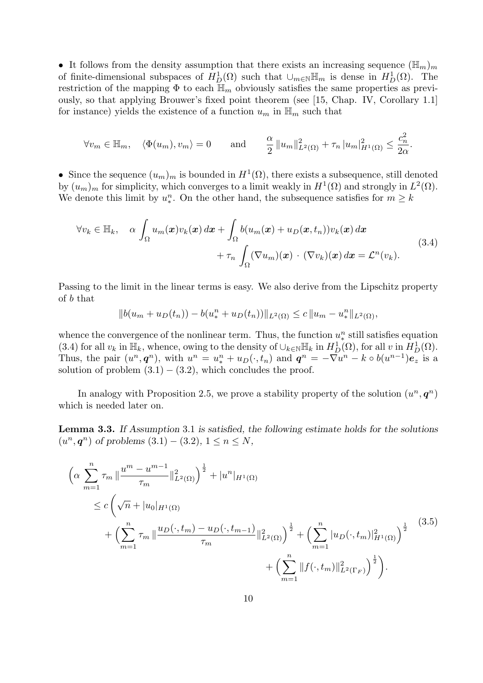• It follows from the density assumption that there exists an increasing sequence  $(\mathbb{H}_m)_m$ of finite-dimensional subspaces of  $H_D^1(\Omega)$  such that  $\cup_{m\in\mathbb{N}}\mathbb{H}_m$  is dense in  $H_D^1(\Omega)$ . The restriction of the mapping  $\Phi$  to each  $\mathbb{H}_m$  obviously satisfies the same properties as previously, so that applying Brouwer's fixed point theorem (see [15, Chap. IV, Corollary 1.1] for instance) yields the existence of a function  $u_m$  in  $\mathbb{H}_m$  such that

$$
\forall v_m \in \mathbb{H}_m, \quad \langle \Phi(u_m), v_m \rangle = 0 \quad \text{and} \quad \frac{\alpha}{2} \|u_m\|_{L^2(\Omega)}^2 + \tau_n \|u_m\|_{H^1(\Omega)}^2 \le \frac{c_n^2}{2\alpha}.
$$

• Since the sequence  $(u_m)_m$  is bounded in  $H^1(\Omega)$ , there exists a subsequence, still denoted by  $(u_m)_m$  for simplicity, which converges to a limit weakly in  $H^1(\Omega)$  and strongly in  $L^2(\Omega)$ . We denote this limit by  $u^n_*$ . On the other hand, the subsequence satisfies for  $m \geq k$ 

$$
\forall v_k \in \mathbb{H}_k, \quad \alpha \int_{\Omega} u_m(\boldsymbol{x}) v_k(\boldsymbol{x}) d\boldsymbol{x} + \int_{\Omega} b(u_m(\boldsymbol{x}) + u_D(\boldsymbol{x}, t_n)) v_k(\boldsymbol{x}) d\boldsymbol{x} + \tau_n \int_{\Omega} (\nabla u_m)(\boldsymbol{x}) \cdot (\nabla v_k)(\boldsymbol{x}) d\boldsymbol{x} = \mathcal{L}^n(v_k).
$$
\n(3.4)

Passing to the limit in the linear terms is easy. We also derive from the Lipschitz property of b that

$$
||b(u_m+u_D(t_n))-b(u_*^n+u_D(t_n))||_{L^2(\Omega)} \leq c||u_m-u_*^n||_{L^2(\Omega)},
$$

whence the convergence of the nonlinear term. Thus, the function  $u_*^n$  still satisfies equation (3.4) for all  $v_k$  in  $\mathbb{H}_k$ , whence, owing to the density of  $\cup_{k\in\mathbb{N}}\mathbb{H}_k$  in  $H_D^1(\Omega)$ , for all  $v$  in  $H_D^1(\Omega)$ . Thus, the pair  $(u^n, \boldsymbol{q}^n)$ , with  $u^n = u^n_* + u_D(\cdot, t_n)$  and  $\boldsymbol{q}^n = -\nabla u^n - k \circ b(u^{n-1})\boldsymbol{e}_z$  is a solution of problem  $(3.1) - (3.2)$ , which concludes the proof.

In analogy with Proposition 2.5, we prove a stability property of the solution  $(u^n, \boldsymbol{q}^n)$ which is needed later on.

Lemma 3.3. If Assumption 3.1 is satisfied, the following estimate holds for the solutions  $(u^n, \mathbf{q}^n)$  of problems  $(3.1) - (3.2), 1 \le n \le N$ ,

$$
\left(\alpha \sum_{m=1}^{n} \tau_m \|\frac{u^m - u^{m-1}}{\tau_m}\|_{L^2(\Omega)}^2\right)^{\frac{1}{2}} + |u^n|_{H^1(\Omega)} \n\leq c \left(\sqrt{n} + |u_0|_{H^1(\Omega)} + \left(\sum_{m=1}^{n} \tau_m \|\frac{u_D(\cdot, t_m) - u_D(\cdot, t_{m-1})}{\tau_m}\|_{L^2(\Omega)}^2\right)^{\frac{1}{2}} + \left(\sum_{m=1}^{n} |u_D(\cdot, t_m)|_{H^1(\Omega)}^2\right)^{\frac{1}{2}} + \left(\sum_{m=1}^{n} \|f(\cdot, t_m)\|_{L^2(\Gamma_F)}^2\right)^{\frac{1}{2}} + \left(\sum_{m=1}^{n} \|f(\cdot, t_m)\|_{L^2(\Gamma_F)}^2\right)^{\frac{1}{2}}.
$$
\n(3.5)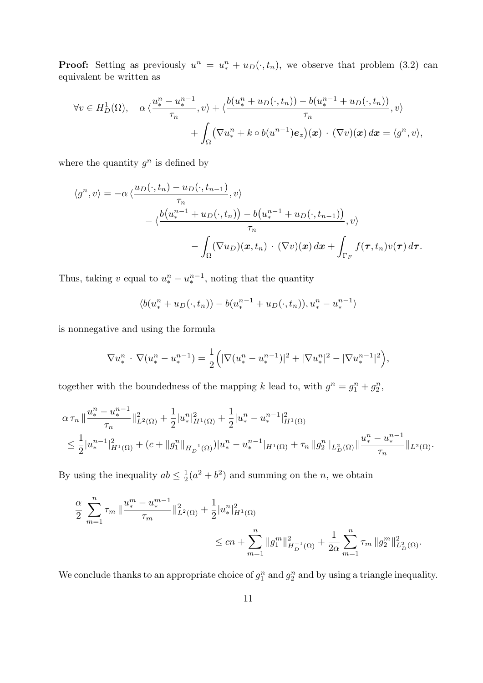**Proof:** Setting as previously  $u^n = u^n_* + u_D(\cdot, t_n)$ , we observe that problem (3.2) can equivalent be written as

$$
\forall v \in H_D^1(\Omega), \quad \alpha \langle \frac{u_*^n - u_*^{n-1}}{\tau_n}, v \rangle + \langle \frac{b(u_*^n + u_D(\cdot, t_n)) - b(u_*^{n-1} + u_D(\cdot, t_n))}{\tau_n}, v \rangle
$$

$$
+ \int_{\Omega} (\nabla u_*^n + k \circ b(u^{n-1}) e_z)(\boldsymbol{x}) \cdot (\nabla v)(\boldsymbol{x}) d\boldsymbol{x} = \langle g^n, v \rangle,
$$

where the quantity  $g^n$  is defined by

$$
\langle g^n, v \rangle = -\alpha \langle \frac{u_D(\cdot, t_n) - u_D(\cdot, t_{n-1})}{\tau_n}, v \rangle
$$
  
 
$$
- \langle \frac{b(u_*^{n-1} + u_D(\cdot, t_n)) - b(u_*^{n-1} + u_D(\cdot, t_{n-1}))}{\tau_n}, v \rangle
$$
  
 
$$
- \int_{\Omega} (\nabla u_D)(\boldsymbol{x}, t_n) \cdot (\nabla v)(\boldsymbol{x}) d\boldsymbol{x} + \int_{\Gamma_F} f(\boldsymbol{\tau}, t_n) v(\boldsymbol{\tau}) d\boldsymbol{\tau}.
$$

Thus, taking v equal to  $u_*^n - u_*^{n-1}$ , noting that the quantity

$$
\langle b(u_*^n + u_D(\cdot, t_n)) - b(u_*^{n-1} + u_D(\cdot, t_n)), u_*^n - u_*^{n-1} \rangle
$$

is nonnegative and using the formula

$$
\nabla u_*^n \cdot \nabla (u_*^n - u_*^{n-1}) = \frac{1}{2} \Big( |\nabla (u_*^n - u_*^{n-1})|^2 + |\nabla u_*^n|^2 - |\nabla u_*^{n-1}|^2 \Big),
$$

together with the boundedness of the mapping k lead to, with  $g^n = g_1^n + g_2^n$ ,

$$
\alpha \tau_n \|\frac{u_*^n - u_*^{n-1}}{\tau_n}\|_{L^2(\Omega)}^2 + \frac{1}{2}|u_*^n|_{H^1(\Omega)}^2 + \frac{1}{2}|u_*^n - u_*^{n-1}|_{H^1(\Omega)}^2
$$
  

$$
\leq \frac{1}{2}|u_*^{n-1}|_{H^1(\Omega)}^2 + (c + \|g_1^n\|_{H_D^{-1}(\Omega)})|u_*^n - u_*^{n-1}|_{H^1(\Omega)} + \tau_n \|g_2^n\|_{L_D^2(\Omega)}\|\frac{u_*^n - u_*^{n-1}}{\tau_n}\|_{L^2(\Omega)}.
$$

By using the inequality  $ab \leq \frac{1}{2}$  $\frac{1}{2}(a^2 + b^2)$  and summing on the *n*, we obtain

$$
\frac{\alpha}{2} \sum_{m=1}^{n} \tau_m \|\frac{u_*^m - u_*^{m-1}}{\tau_m}\|_{L^2(\Omega)}^2 + \frac{1}{2}|u_*^n|_{H^1(\Omega)}^2
$$
  

$$
\leq cn + \sum_{m=1}^{n} \|g_1^m\|_{H_D^{-1}(\Omega)}^2 + \frac{1}{2\alpha} \sum_{m=1}^{n} \tau_m \|g_2^m\|_{L_D^2(\Omega)}^2.
$$

We conclude thanks to an appropriate choice of  $g_1^n$  and  $g_2^n$  and by using a triangle inequality.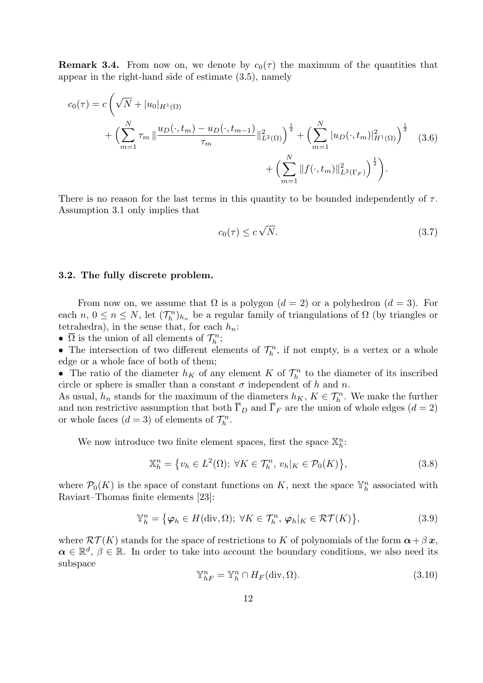**Remark 3.4.** From now on, we denote by  $c_0(\tau)$  the maximum of the quantities that appear in the right-hand side of estimate (3.5), namely

$$
c_0(\tau) = c \left( \sqrt{N} + |u_0|_{H^1(\Omega)} + \left( \sum_{m=1}^N \tau_m \left\| \frac{u_D(\cdot, t_m) - u_D(\cdot, t_{m-1})}{\tau_m} \right\|_{L^2(\Omega)}^2 \right)^{\frac{1}{2}} + \left( \sum_{m=1}^N |u_D(\cdot, t_m)|_{H^1(\Omega)}^2 \right)^{\frac{1}{2}} \tag{3.6}
$$

$$
+ \left( \sum_{m=1}^N \| f(\cdot, t_m) \|_{L^2(\Gamma_F)}^2 \right)^{\frac{1}{2}} \right).
$$

There is no reason for the last terms in this quantity to be bounded independently of  $\tau$ . Assumption 3.1 only implies that

$$
c_0(\tau) \le c\sqrt{N}.\tag{3.7}
$$

#### 3.2. The fully discrete problem.

From now on, we assume that  $\Omega$  is a polygon  $(d = 2)$  or a polyhedron  $(d = 3)$ . For each  $n, 0 \le n \le N$ , let  $(\mathcal{T}_h^n)_{h_n}$  be a regular family of triangulations of  $\Omega$  (by triangles or tetrahedra), in the sense that, for each  $h_n$ :

•  $\overline{\Omega}$  is the union of all elements of  $\mathcal{T}_h^n$ ;

• The intersection of two different elements of  $\mathcal{T}_h^n$ , if not empty, is a vertex or a whole edge or a whole face of both of them;

• The ratio of the diameter  $h_K$  of any element K of  $\mathcal{T}_h^n$  to the diameter of its inscribed circle or sphere is smaller than a constant  $\sigma$  independent of h and n.

As usual,  $h_n$  stands for the maximum of the diameters  $h_K$ ,  $K \in \mathcal{T}_h^n$ . We make the further and non restrictive assumption that both  $\overline{\Gamma}_D$  and  $\overline{\Gamma}_F$  are the union of whole edges  $(d = 2)$ or whole faces  $(d = 3)$  of elements of  $\mathcal{T}_h^n$ .

We now introduce two finite element spaces, first the space  $\mathbb{X}_h^n$ :

$$
\mathbb{X}_h^n = \{ v_h \in L^2(\Omega) ; \ \forall K \in \mathcal{T}_h^n, \ v_h |_K \in \mathcal{P}_0(K) \},\tag{3.8}
$$

where  $\mathcal{P}_0(K)$  is the space of constant functions on K, next the space  $\mathbb{Y}_h^n$  associated with Raviart–Thomas finite elements [23]:

$$
\mathbb{Y}_h^n = \big\{ \varphi_h \in H(\text{div}, \Omega); \ \forall K \in \mathcal{T}_h^n, \ \varphi_h|_K \in \mathcal{RT}(K) \big\},\tag{3.9}
$$

where  $\mathcal{RT}(K)$  stands for the space of restrictions to K of polynomials of the form  $\alpha + \beta x$ ,  $\alpha \in \mathbb{R}^d$ ,  $\beta \in \mathbb{R}$ . In order to take into account the boundary conditions, we also need its subspace

$$
\mathbb{Y}_{hF}^n = \mathbb{Y}_h^n \cap H_F(\text{div}, \Omega). \tag{3.10}
$$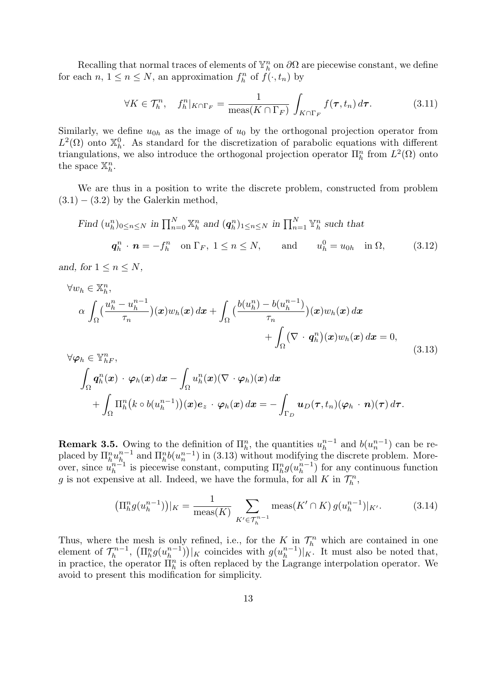Recalling that normal traces of elements of  $\mathbb{Y}_h^n$  on  $\partial\Omega$  are piecewise constant, we define for each  $n, 1 \leq n \leq N$ , an approximation  $f_h^n$  of  $f(\cdot, t_n)$  by

$$
\forall K \in \mathcal{T}_h^n, \quad f_h^n|_{K \cap \Gamma_F} = \frac{1}{\text{meas}(K \cap \Gamma_F)} \int_{K \cap \Gamma_F} f(\tau, t_n) d\tau. \tag{3.11}
$$

Similarly, we define  $u_{0h}$  as the image of  $u_0$  by the orthogonal projection operator from  $L^2(\Omega)$  onto  $\mathbb{X}_h^0$ . As standard for the discretization of parabolic equations with different triangulations, we also introduce the orthogonal projection operator  $\prod_{h}^{n}$  from  $L^{2}(\Omega)$  onto the space  $\mathbb{X}_h^n$ .

We are thus in a position to write the discrete problem, constructed from problem  $(3.1) - (3.2)$  by the Galerkin method,

Find 
$$
(u_h^n)_{0 \le n \le N}
$$
 in  $\prod_{n=0}^N \mathbb{X}_h^n$  and  $(\mathbf{q}_h^n)_{1 \le n \le N}$  in  $\prod_{n=1}^N \mathbb{Y}_h^n$  such that  
\n $\mathbf{q}_h^n \cdot \mathbf{n} = -f_h^n$  on  $\Gamma_F$ ,  $1 \le n \le N$ , and  $u_h^0 = u_{0h}$  in  $\Omega$ , (3.12)

and, for  $1 \leq n \leq N$ ,

$$
\forall w_h \in \mathbb{X}_h^n,
$$
\n
$$
\alpha \int_{\Omega} \left( \frac{u_h^n - u_h^{n-1}}{\tau_n} \right) (\boldsymbol{x}) w_h(\boldsymbol{x}) d\boldsymbol{x} + \int_{\Omega} \left( \frac{b(u_h^n) - b(u_h^{n-1})}{\tau_n} \right) (\boldsymbol{x}) w_h(\boldsymbol{x}) d\boldsymbol{x} + \int_{\Omega} \left( \nabla \cdot \boldsymbol{q}_h^n \right) (\boldsymbol{x}) w_h(\boldsymbol{x}) d\boldsymbol{x} = 0,
$$
\n
$$
\forall \alpha_h \in \mathbb{X}^n
$$
\n(3.13)

$$
\forall \varphi_h \in \mathbb{Y}_{h}^n,
$$
  

$$
\int_{\Omega} \boldsymbol{q}_h^n(\boldsymbol{x}) \cdot \varphi_h(\boldsymbol{x}) d\boldsymbol{x} - \int_{\Omega} u_h^n(\boldsymbol{x}) (\nabla \cdot \varphi_h)(\boldsymbol{x}) d\boldsymbol{x} + \int_{\Omega} \Pi_h^n(k \circ b(u_h^{n-1}))(\boldsymbol{x}) e_z \cdot \varphi_h(\boldsymbol{x}) d\boldsymbol{x} = - \int_{\Gamma_D} \boldsymbol{u}_D(\boldsymbol{\tau}, t_n) (\varphi_h \cdot \boldsymbol{n}) (\boldsymbol{\tau}) d\boldsymbol{\tau}.
$$

**Remark 3.5.** Owing to the definition of  $\Pi_h^n$ , the quantities  $u_h^{n-1}$  $\binom{n-1}{h}$  and  $b(u_n^{n-1})$  can be replaced by  $\prod_{h}^{n} u_{h}^{n-1}$  $_{h_1}^{n-1}$  and  $\Pi_h^n b(u_n^{n-1})$  in (3.13) without modifying the discrete problem. Moreover, since  $\tilde{u}_h^{n-1}$  $\prod_{h=1}^{n-1}$  is piecewise constant, computing  $\prod_{h=1}^{n} g(u_h^{n-1})$  $\binom{n-1}{h}$  for any continuous function g is not expensive at all. Indeed, we have the formula, for all K in  $\mathcal{T}_h^n$ ,

$$
\left(\Pi_h^n g(u_h^{n-1})\right)|_K = \frac{1}{\text{meas}(K)} \sum_{K' \in \mathcal{T}_h^{n-1}} \text{meas}(K' \cap K) g(u_h^{n-1})|_{K'}.\tag{3.14}
$$

Thus, where the mesh is only refined, i.e., for the K in  $\mathcal{T}_h^n$  which are contained in one element of  $\mathcal{T}_h^{n-1}$  $\int_h^{-n-1}$ ,  $\left(\prod_{h=1}^n g(u_h^{n-1}\right)$  ${n-1 \choose h}$ ) | K coincides with  $g(u_h^{n-1})$  $\binom{n-1}{h}$   $\mid$  K. It must also be noted that, in practice, the operator  $\prod_{h=1}^{n}$  is often replaced by the Lagrange interpolation operator. We avoid to present this modification for simplicity.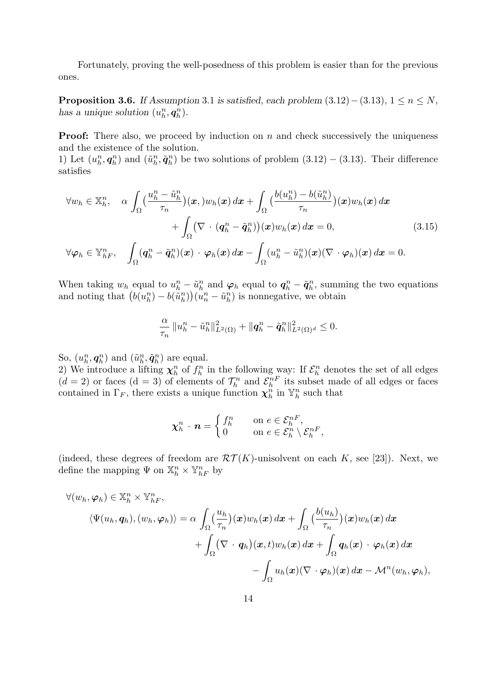Fortunately, proving the well-posedness of this problem is easier than for the previous ones.

**Proposition 3.6.** If Assumption 3.1 is satisfied, each problem  $(3.12) - (3.13)$ ,  $1 \le n \le N$ , has a unique solution  $(u_h^n, q_h^n)$ .

**Proof:** There also, we proceed by induction on  $n$  and check successively the uniqueness and the existence of the solution.

1) Let  $(u_h^n, q_h^n)$  and  $(\tilde{u}_h^n, \tilde{q}_h^n)$  be two solutions of problem  $(3.12) - (3.13)$ . Their difference satisfies

$$
\forall w_h \in \mathbb{X}_h^n, \quad \alpha \int_{\Omega} \left( \frac{u_h^n - \tilde{u}_h^n}{\tau_n} \right) (\boldsymbol{x},) w_h(\boldsymbol{x}) \, d\boldsymbol{x} + \int_{\Omega} \left( \frac{b(u_h^n) - b(\tilde{u}_h^n)}{\tau_n} \right) (\boldsymbol{x}) w_h(\boldsymbol{x}) \, d\boldsymbol{x} + \int_{\Omega} \left( \nabla \cdot (\boldsymbol{q}_h^n - \tilde{\boldsymbol{q}}_h^n) \right) (\boldsymbol{x}) w_h(\boldsymbol{x}) \, d\boldsymbol{x} = 0, \tag{3.15}
$$
  

$$
\forall \varphi_h \in \mathbb{Y}_{hF}^n, \quad \int_{\Omega} (\boldsymbol{q}_h^n - \tilde{\boldsymbol{q}}_h^n)(\boldsymbol{x}) \cdot \varphi_h(\boldsymbol{x}) \, d\boldsymbol{x} - \int_{\Omega} (u_h^n - \tilde{u}_h^n)(\boldsymbol{x}) (\nabla \cdot \varphi_h)(\boldsymbol{x}) \, d\boldsymbol{x} = 0.
$$

When taking  $w_h$  equal to  $u_h^n - \tilde{u}_h^n$  and  $\varphi_h$  equal to  $q_h^n - \tilde{q}_h^n$ , summing the two equations and noting that  $(b(u_h^n) - b(\tilde{u}_h^n))(u_n^n - \tilde{u}_h^n)$  is nonnegative, we obtain

$$
\frac{\alpha}{\tau_n} \left\|u_h^n - \tilde{u}_h^n\right\|_{L^2(\Omega)}^2 + \|\boldsymbol{q}_h^n - \tilde{\boldsymbol{q}}_h^n\|_{L^2(\Omega)^d}^2 \leq 0.
$$

So,  $(u_h^n, \boldsymbol{q}_h^n)$  and  $(\tilde{u}_h^n, \tilde{\boldsymbol{q}}_h^n)$  are equal.

2) We introduce a lifting  $\chi_h^n$  of  $f_h^n$  in the following way: If  $\mathcal{E}_h^n$  denotes the set of all edges  $(d = 2)$  or faces  $(d = 3)$  of elements of  $\mathcal{T}_h^n$  and  $\mathcal{E}_h^{n}$  its subset made of all edges or faces contained in  $\Gamma_F$ , there exists a unique function  $\chi_h^n$  in  $\mathbb{Y}_h^n$  such that

$$
\chi_h^n \cdot \boldsymbol{n} = \begin{cases} f_h^n & \text{on } e \in \mathcal{E}_h^{nF}, \\ 0 & \text{on } e \in \mathcal{E}_h^n \setminus \mathcal{E}_h^{nF}, \end{cases}
$$

(indeed, these degrees of freedom are  $\mathcal{RT}(K)$ -unisolvent on each K, see [23]). Next, we define the mapping  $\Psi$  on  $\mathbb{X}_h^n \times \mathbb{Y}_{hF}^n$  by

$$
\forall (w_h, \varphi_h) \in \mathbb{X}_h^n \times \mathbb{Y}_{hF}^n, \n\langle \Psi(u_h, \boldsymbol{q}_h), (w_h, \varphi_h) \rangle = \alpha \int_{\Omega} \left( \frac{u_h}{\tau_n} \right) (\boldsymbol{x}) w_h(\boldsymbol{x}) \, d\boldsymbol{x} + \int_{\Omega} \left( \frac{b(u_h)}{\tau_n} \right) (\boldsymbol{x}) w_h(\boldsymbol{x}) \, d\boldsymbol{x} \n+ \int_{\Omega} (\nabla \cdot \boldsymbol{q}_h) (\boldsymbol{x}, t) w_h(\boldsymbol{x}) \, d\boldsymbol{x} + \int_{\Omega} \boldsymbol{q}_h(\boldsymbol{x}) \cdot \boldsymbol{\varphi}_h(\boldsymbol{x}) \, d\boldsymbol{x} \n- \int_{\Omega} u_h(\boldsymbol{x}) (\nabla \cdot \boldsymbol{\varphi}_h) (\boldsymbol{x}) \, d\boldsymbol{x} - \mathcal{M}^n(w_h, \boldsymbol{\varphi}_h),
$$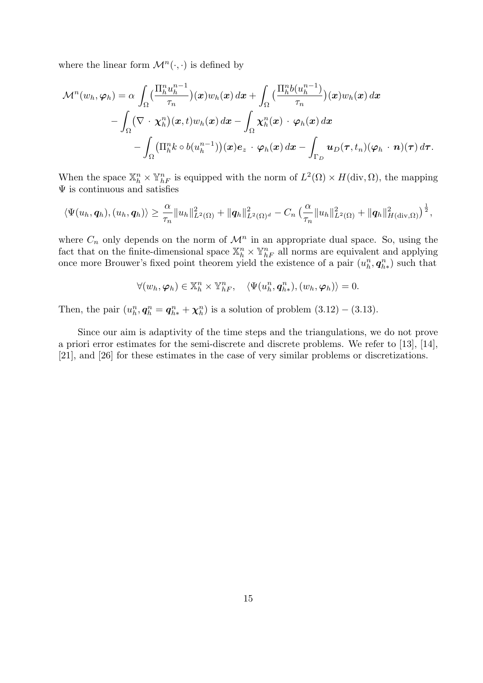where the linear form  $\mathcal{M}^n(\cdot, \cdot)$  is defined by

$$
\mathcal{M}^{n}(w_{h}, \varphi_{h}) = \alpha \int_{\Omega} \left( \frac{\Pi_{h}^{n} u_{h}^{n-1}}{\tau_{n}} \right) (x) w_{h}(x) dx + \int_{\Omega} \left( \frac{\Pi_{h}^{n} b(u_{h}^{n-1})}{\tau_{n}} \right) (x) w_{h}(x) dx \n- \int_{\Omega} \left( \nabla \cdot \chi_{h}^{n} \right) (x, t) w_{h}(x) dx - \int_{\Omega} \chi_{h}^{n}(x) \cdot \varphi_{h}(x) dx \n- \int_{\Omega} \left( \Pi_{h}^{n} k \circ b(u_{h}^{n-1}) \right) (x) e_{z} \cdot \varphi_{h}(x) dx - \int_{\Gamma_{D}} u_{D}(\tau, t_{n}) (\varphi_{h} \cdot n)(\tau) d\tau.
$$

When the space  $\mathbb{X}_h^n \times \mathbb{Y}_{hF}^n$  is equipped with the norm of  $L^2(\Omega) \times H(\text{div}, \Omega)$ , the mapping  $\Psi$  is continuous and satisfies

$$
\langle \Psi(u_h, \mathbf{q}_h), (u_h, \mathbf{q}_h) \rangle \geq \frac{\alpha}{\tau_n} \|u_h\|_{L^2(\Omega)}^2 + \|\mathbf{q}_h\|_{L^2(\Omega)^d}^2 - C_n \left(\frac{\alpha}{\tau_n} \|u_h\|_{L^2(\Omega)}^2 + \|\mathbf{q}_h\|_{H(\text{div},\Omega)}^2\right)^{\frac{1}{2}},
$$

where  $C_n$  only depends on the norm of  $\mathcal{M}^n$  in an appropriate dual space. So, using the fact that on the finite-dimensional space  $\mathbb{X}_h^n \times \mathbb{Y}_{h}^n$  all norms are equivalent and applying once more Brouwer's fixed point theorem yield the existence of a pair  $(u_h^n, q_{h*}^n)$  such that

$$
\forall (w_h, \varphi_h) \in \mathbb{X}_h^n \times \mathbb{Y}_{hF}^n, \quad \langle \Psi(u_h^n, \boldsymbol{q}_{h*}^n), (w_h, \varphi_h) \rangle = 0.
$$

Then, the pair  $(u_h^n, q_h^n = q_{h*}^n + \chi_h^n)$  is a solution of problem  $(3.12) - (3.13)$ .

Since our aim is adaptivity of the time steps and the triangulations, we do not prove a priori error estimates for the semi-discrete and discrete problems. We refer to [13], [14], [21], and [26] for these estimates in the case of very similar problems or discretizations.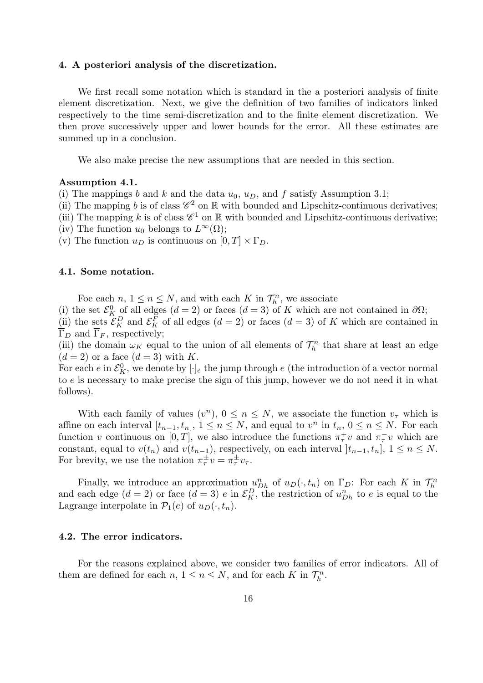#### 4. A posteriori analysis of the discretization.

We first recall some notation which is standard in the a posteriori analysis of finite element discretization. Next, we give the definition of two families of indicators linked respectively to the time semi-discretization and to the finite element discretization. We then prove successively upper and lower bounds for the error. All these estimates are summed up in a conclusion.

We also make precise the new assumptions that are needed in this section.

#### Assumption 4.1.

(i) The mappings b and k and the data  $u_0$ ,  $u_D$ , and f satisfy Assumption 3.1;

(ii) The mapping b is of class  $\mathscr{C}^2$  on  $\mathbb R$  with bounded and Lipschitz-continuous derivatives;

(iii) The mapping k is of class  $\mathscr{C}^1$  on  $\mathbb R$  with bounded and Lipschitz-continuous derivative;

(iv) The function  $u_0$  belongs to  $L^{\infty}(\Omega)$ ;

(v) The function  $u_D$  is continuous on  $[0, T] \times \Gamma_D$ .

#### 4.1. Some notation.

Foe each  $n, 1 \leq n \leq N$ , and with each K in  $\mathcal{T}_h^n$ , we associate

(i) the set  $\mathcal{E}_K^0$  of all edges  $(d = 2)$  or faces  $(d = 3)$  of K which are not contained in  $\partial\Omega$ ;

(ii) the sets  $\mathcal{E}_K^D$  and  $\mathcal{E}_K^F$  of all edges  $(d = 2)$  or faces  $(d = 3)$  of K which are contained in  $\overline{\Gamma}_D$  and  $\overline{\Gamma}_F$ , respectively;

(iii) the domain  $\omega_K$  equal to the union of all elements of  $\mathcal{T}_h^n$  that share at least an edge  $(d = 2)$  or a face  $(d = 3)$  with K.

For each e in  $\mathcal{E}_K^0$ , we denote by  $[\cdot]_e$  the jump through e (the introduction of a vector normal to e is necessary to make precise the sign of this jump, however we do not need it in what follows).

With each family of values  $(v^n)$ ,  $0 \leq n \leq N$ , we associate the function  $v_\tau$  which is affine on each interval  $[t_{n-1}, t_n]$ ,  $1 \le n \le N$ , and equal to  $v^n$  in  $t_n$ ,  $0 \le n \le N$ . For each function v continuous on [0, T], we also introduce the functions  $\pi^+_{\tau}v$  and  $\pi^-_{\tau}v$  which are constant, equal to  $v(t_n)$  and  $v(t_{n-1})$ , respectively, on each interval  $]t_{n-1}, t_n]$ ,  $1 \le n \le N$ . For brevity, we use the notation  $\pi^{\pm}_{\tau}v = \pi^{\pm}_{\tau}v_{\tau}$ .

Finally, we introduce an approximation  $u_{Dh}^n$  of  $u_D(\cdot, t_n)$  on  $\Gamma_D$ : For each K in  $\mathcal{T}_h^n$ and each edge  $(d = 2)$  or face  $(d = 3)$  e in  $\mathcal{E}_K^D$ , the restriction of  $u_{Dh}^n$  to e is equal to the Lagrange interpolate in  $\mathcal{P}_1(e)$  of  $u_D(\cdot, t_n)$ .

#### 4.2. The error indicators.

For the reasons explained above, we consider two families of error indicators. All of them are defined for each  $n, 1 \le n \le N$ , and for each K in  $\mathcal{T}_h^n$ .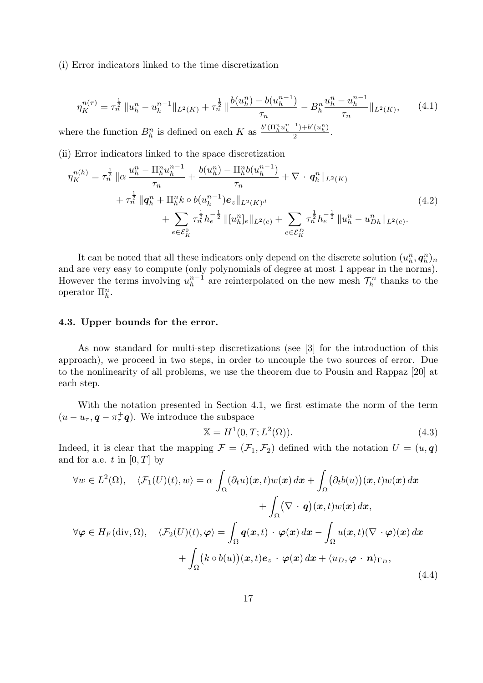(i) Error indicators linked to the time discretization

$$
\eta_K^{n(\tau)} = \tau_n^{\frac{1}{2}} \|u_h^n - u_h^{n-1}\|_{L^2(K)} + \tau_n^{\frac{1}{2}} \|\frac{b(u_h^n) - b(u_h^{n-1})}{\tau_n} - B_h^n \frac{u_h^n - u_h^{n-1}}{\tau_n}\|_{L^2(K)},\tag{4.1}
$$

where the function  $B_h^n$  is defined on each K as  $\frac{b'(\Pi_h^n u_h^{n-1}) + b'(u_h^n)}{2}$  $\frac{1+o(u_h)}{2}$ .

(ii) Error indicators linked to the space discretization

$$
\eta_K^{n(h)} = \tau_n^{\frac{1}{2}} \|\alpha \frac{u_h^n - \Pi_h^n u_h^{n-1}}{\tau_n} + \frac{b(u_h^n) - \Pi_h^n b(u_h^{n-1})}{\tau_n} + \nabla \cdot q_h^n \|_{L^2(K)} \n+ \tau_n^{\frac{1}{2}} \|\mathbf{q}_h^n + \Pi_h^n k \circ b(u_h^{n-1}) \mathbf{e}_z \|_{L^2(K)^d} \n+ \sum_{e \in \mathcal{E}_K^0} \tau_n^{\frac{1}{2}} h_e^{-\frac{1}{2}} \| [u_h^n]_e \|_{L^2(e)} + \sum_{e \in \mathcal{E}_K^D} \tau_n^{\frac{1}{2}} h_e^{-\frac{1}{2}} \| u_h^n - u_{Dh}^n \|_{L^2(e)}.
$$
\n(4.2)

It can be noted that all these indicators only depend on the discrete solution  $(u_h^n, \boldsymbol{q}_h^n)_n$ and are very easy to compute (only polynomials of degree at most 1 appear in the norms). However the terms involving  $u_h^{n-1}$  $\ell_h^{n-1}$  are reinterpolated on the new mesh  $\mathcal{T}_h^n$  thanks to the operator  $\Pi_h^n$ .

#### 4.3. Upper bounds for the error.

As now standard for multi-step discretizations (see [3] for the introduction of this approach), we proceed in two steps, in order to uncouple the two sources of error. Due to the nonlinearity of all problems, we use the theorem due to Pousin and Rappaz [20] at each step.

With the notation presented in Section 4.1, we first estimate the norm of the term  $(u - u_{\tau}, \mathbf{q} - \pi_{\tau}^{+} \mathbf{q})$ . We introduce the subspace

$$
\mathbb{X} = H^1(0, T; L^2(\Omega)).
$$
\n(4.3)

Indeed, it is clear that the mapping  $\mathcal{F} = (\mathcal{F}_1, \mathcal{F}_2)$  defined with the notation  $U = (u, q)$ and for a.e. t in  $[0, T]$  by

$$
\forall w \in L^{2}(\Omega), \quad \langle \mathcal{F}_{1}(U)(t), w \rangle = \alpha \int_{\Omega} (\partial_{t} u)(\boldsymbol{x}, t) w(\boldsymbol{x}) d\boldsymbol{x} + \int_{\Omega} (\partial_{t} b(u))(\boldsymbol{x}, t) w(\boldsymbol{x}) d\boldsymbol{x} \n+ \int_{\Omega} (\nabla \cdot \boldsymbol{q})(\boldsymbol{x}, t) w(\boldsymbol{x}) d\boldsymbol{x}, \n\forall \varphi \in H_{F}(\text{div}, \Omega), \quad \langle \mathcal{F}_{2}(U)(t), \varphi \rangle = \int_{\Omega} \boldsymbol{q}(\boldsymbol{x}, t) \cdot \varphi(\boldsymbol{x}) d\boldsymbol{x} - \int_{\Omega} u(\boldsymbol{x}, t) (\nabla \cdot \varphi)(\boldsymbol{x}) d\boldsymbol{x} \n+ \int_{\Omega} (k \circ b(u))(\boldsymbol{x}, t) \boldsymbol{e}_{z} \cdot \varphi(\boldsymbol{x}) d\boldsymbol{x} + \langle u_{D}, \varphi \cdot \boldsymbol{n} \rangle_{\Gamma_{D}},
$$
\n(4.4)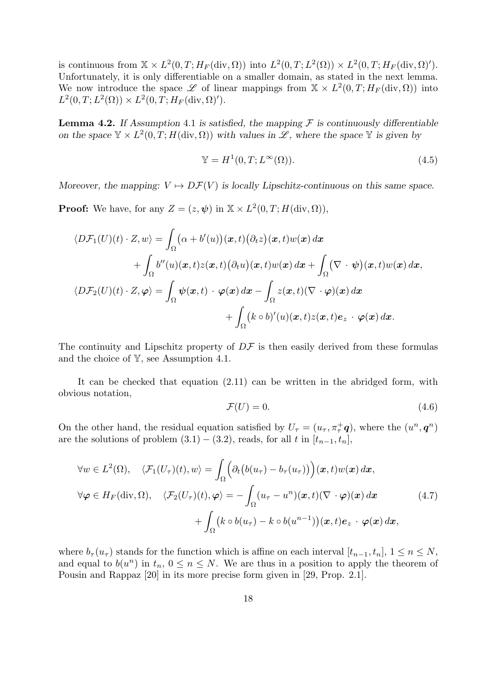is continuous from  $\mathbb{X} \times L^2(0,T;H_F(\text{div}, \Omega))$  into  $L^2(0,T;L^2(\Omega)) \times L^2(0,T;H_F(\text{div}, \Omega)').$ Unfortunately, it is only differentiable on a smaller domain, as stated in the next lemma. We now introduce the space L of linear mappings from  $\mathbb{X} \times L^2(0,T;H_F(\text{div},\Omega))$  into  $L^2(0,T; L^2(\Omega)) \times L^2(0,T; H_F(\text{div}, \Omega)').$ 

**Lemma 4.2.** If Assumption 4.1 is satisfied, the mapping  $\mathcal F$  is continuously differentiable on the space  $\mathbb{Y} \times L^2(0,T;H(\text{div},\Omega))$  with values in  $\mathscr{L}$ , where the space  $\mathbb Y$  is given by

$$
\mathbb{Y} = H^1(0, T; L^{\infty}(\Omega)).
$$
\n(4.5)

Moreover, the mapping:  $V \mapsto D\mathcal{F}(V)$  is locally Lipschitz-continuous on this same space.

**Proof:** We have, for any  $Z = (z, \psi)$  in  $X \times L^2(0, T; H(\text{div}, \Omega)),$ 

$$
\langle D\mathcal{F}_1(U)(t) \cdot Z, w \rangle = \int_{\Omega} (\alpha + b'(u))(\boldsymbol{x}, t) (\partial_t z)(\boldsymbol{x}, t) w(\boldsymbol{x}) d\boldsymbol{x} + \int_{\Omega} b''(u)(\boldsymbol{x}, t) z(\boldsymbol{x}, t) (\partial_t u)(\boldsymbol{x}, t) w(\boldsymbol{x}) d\boldsymbol{x} + \int_{\Omega} (\nabla \cdot \boldsymbol{\psi})(\boldsymbol{x}, t) w(\boldsymbol{x}) d\boldsymbol{x}, \langle D\mathcal{F}_2(U)(t) \cdot Z, \boldsymbol{\varphi} \rangle = \int_{\Omega} \boldsymbol{\psi}(\boldsymbol{x}, t) \cdot \boldsymbol{\varphi}(\boldsymbol{x}) d\boldsymbol{x} - \int_{\Omega} z(\boldsymbol{x}, t) (\nabla \cdot \boldsymbol{\varphi})(\boldsymbol{x}) d\boldsymbol{x} + \int_{\Omega} (k \circ b)'(u)(\boldsymbol{x}, t) z(\boldsymbol{x}, t) e_z \cdot \boldsymbol{\varphi}(\boldsymbol{x}) d\boldsymbol{x}.
$$

The continuity and Lipschitz property of  $D\mathcal{F}$  is then easily derived from these formulas and the choice of Y, see Assumption 4.1.

It can be checked that equation (2.11) can be written in the abridged form, with obvious notation,

$$
\mathcal{F}(U) = 0.\tag{4.6}
$$

On the other hand, the residual equation satisfied by  $U_{\tau} = (u_{\tau}, \pi_{\tau}^+ \mathbf{q})$ , where the  $(u^n, \mathbf{q}^n)$ are the solutions of problem  $(3.1) - (3.2)$ , reads, for all t in  $[t_{n-1}, t_n]$ ,

$$
\forall w \in L^{2}(\Omega), \quad \langle \mathcal{F}_{1}(U_{\tau})(t), w \rangle = \int_{\Omega} \Big( \partial_{t} \big( b(u_{\tau}) - b_{\tau}(u_{\tau}) \big) \Big) (\boldsymbol{x}, t) w(\boldsymbol{x}) d\boldsymbol{x},
$$
  

$$
\forall \varphi \in H_{F}(\text{div}, \Omega), \quad \langle \mathcal{F}_{2}(U_{\tau})(t), \varphi \rangle = - \int_{\Omega} (u_{\tau} - u^{n})(\boldsymbol{x}, t) (\nabla \cdot \varphi)(\boldsymbol{x}) d\boldsymbol{x} \qquad (4.7)
$$
  

$$
+ \int_{\Omega} \big( k \circ b(u_{\tau}) - k \circ b(u^{n-1}) \big) (\boldsymbol{x}, t) e_{z} \cdot \varphi(\boldsymbol{x}) d\boldsymbol{x},
$$

where  $b_{\tau}(u_{\tau})$  stands for the function which is affine on each interval  $[t_{n-1}, t_n]$ ,  $1 \leq n \leq N$ , and equal to  $b(u^n)$  in  $t_n, 0 \le n \le N$ . We are thus in a position to apply the theorem of Pousin and Rappaz [20] in its more precise form given in [29, Prop. 2.1].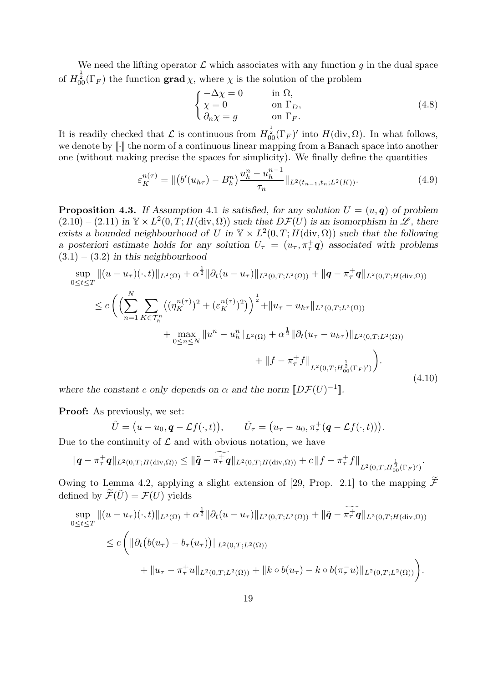We need the lifting operator  $\mathcal L$  which associates with any function g in the dual space of  $H^{\frac{1}{2}}_{00}(\Gamma_F)$  the function **grad**  $\chi$ , where  $\chi$  is the solution of the problem

$$
\begin{cases}\n-\Delta \chi = 0 & \text{in } \Omega, \\
\chi = 0 & \text{on } \Gamma_D, \\
\partial_n \chi = g & \text{on } \Gamma_F.\n\end{cases}
$$
\n(4.8)

It is readily checked that  $\mathcal L$  is continuous from  $H^{\frac{1}{2}}_{00}(\Gamma_F)'$  into  $H(\text{div}, \Omega)$ . In what follows, we denote by  $\llbracket \cdot \rrbracket$  the norm of a continuous linear mapping from a Banach space into another one (without making precise the spaces for simplicity). We finally define the quantities

$$
\varepsilon_K^{n(\tau)} = \left\| \left( b'(u_{h\tau}) - B_h^n \right) \frac{u_h^n - u_h^{n-1}}{\tau_n} \right\|_{L^2(t_{n-1}, t_n; L^2(K))}.\tag{4.9}
$$

**Proposition 4.3.** If Assumption 4.1 is satisfied, for any solution  $U = (u, q)$  of problem  $(2.10) - (2.11)$  in  $\mathbb{Y} \times L^2(0,T; H(\text{div}, \Omega))$  such that  $D\mathcal{F}(U)$  is an isomorphism in  $\mathscr{L}$ , there exists a bounded neighbourhood of U in  $\mathbb{Y} \times L^2(0,T;H(\text{div},\Omega))$  such that the following a posteriori estimate holds for any solution  $U_{\tau} = (u_{\tau}, \pi_{\tau}^+ \mathbf{q})$  associated with problems  $(3.1) - (3.2)$  in this neighbourhood

$$
\sup_{0 \le t \le T} \|(u - u_{\tau})(\cdot, t)\|_{L^{2}(\Omega)} + \alpha^{\frac{1}{2}} \|\partial_{t}(u - u_{\tau})\|_{L^{2}(0,T;L^{2}(\Omega))} + \|q - \pi_{\tau}^{+}q\|_{L^{2}(0,T;H(\text{div},\Omega))}
$$
\n
$$
\le c \left( \left( \sum_{n=1}^{N} \sum_{K \in \mathcal{T}_{h}^{n}} ((\eta_{K}^{n(\tau)})^{2} + (\varepsilon_{K}^{n(\tau)})^{2}) \right)^{\frac{1}{2}} + \|u_{\tau} - u_{h\tau}\|_{L^{2}(0,T;L^{2}(\Omega))} + \max_{0 \le n \le N} \|u^{n} - u_{h}^{n}\|_{L^{2}(\Omega)} + \alpha^{\frac{1}{2}} \|\partial_{t}(u_{\tau} - u_{h\tau})\|_{L^{2}(0,T;L^{2}(\Omega))} + \|f - \pi_{\tau}^{+}f\|_{L^{2}(0,T;H_{00}^{\frac{1}{2}}(\Gamma_{F})')} \right). \tag{4.10}
$$

where the constant c only depends on  $\alpha$  and the norm  $\llbracket D\mathcal{F}(U)^{-1} \rrbracket$ .

Proof: As previously, we set:

$$
\tilde{U} = (u - u_0, \boldsymbol{q} - \mathcal{L}f(\cdot, t)), \qquad \tilde{U}_{\tau} = (u_{\tau} - u_0, \pi_{\tau}^+(\boldsymbol{q} - \mathcal{L}f(\cdot, t))).
$$

Due to the continuity of  $\mathcal L$  and with obvious notation, we have

$$
\|\mathbf{q}-\pi_{\tau}^{+}\mathbf{q}\|_{L^{2}(0,T;H(\text{div},\Omega))} \leq \|\tilde{\mathbf{q}}-\pi_{\tau}^{+}\mathbf{q}\|_{L^{2}(0,T;H(\text{div},\Omega))}+c\|f-\pi_{\tau}^{+}f\|_{L^{2}(0,T;H_{00}^{\frac{1}{2}}(\Gamma_{F})')}.
$$

Owing to Lemma 4.2, applying a slight extension of [29, Prop. 2.1] to the mapping  $\widetilde{\mathcal{F}}$ defined by  $\widetilde{\mathcal{F}}(\widetilde{U}) = \mathcal{F}(U)$  yields

$$
\sup_{0 \le t \le T} \|(u - u_{\tau})(\cdot, t)\|_{L^{2}(\Omega)} + \alpha^{\frac{1}{2}} \|\partial_{t}(u - u_{\tau})\|_{L^{2}(0,T;L^{2}(\Omega))} + \|\tilde{\mathbf{q}} - \pi^{\frac{1}{\tau}}\mathbf{q}\|_{L^{2}(0,T;H(\text{div},\Omega))}
$$
\n
$$
\le c \left( \|\partial_{t}\big(b(u_{\tau}) - b_{\tau}(u_{\tau})\big)\|_{L^{2}(0,T;L^{2}(\Omega))} + \|k \circ b(u_{\tau}) - k \circ b(\pi_{\tau}^{-}u)\|_{L^{2}(0,T;L^{2}(\Omega))} \right).
$$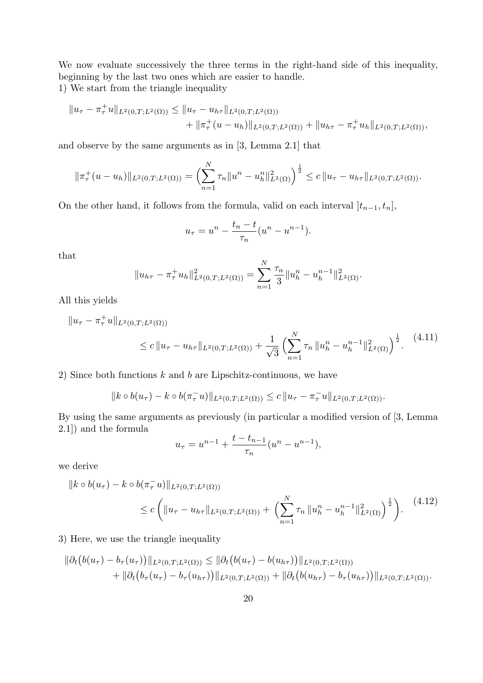We now evaluate successively the three terms in the right-hand side of this inequality, beginning by the last two ones which are easier to handle.

1) We start from the triangle inequality

$$
||u_{\tau} - \pi_{\tau}^{+}u||_{L^{2}(0,T;L^{2}(\Omega))} \leq ||u_{\tau} - u_{h\tau}||_{L^{2}(0,T;L^{2}(\Omega))}
$$
  
 
$$
+ ||\pi_{\tau}^{+}(u - u_{h})||_{L^{2}(0,T;L^{2}(\Omega))} + ||u_{h\tau} - \pi_{\tau}^{+}u_{h}||_{L^{2}(0,T;L^{2}(\Omega))},
$$

and observe by the same arguments as in [3, Lemma 2.1] that

$$
\|\pi_\tau^+(u - u_h)\|_{L^2(0,T;L^2(\Omega))} = \left(\sum_{n=1}^N \tau_n \|u^n - u_h^n\|_{L^2(\Omega)}^2\right)^{\frac{1}{2}} \leq c \|u_\tau - u_{h\tau}\|_{L^2(0,T;L^2(\Omega))}.
$$

On the other hand, it follows from the formula, valid on each interval  $]t_{n-1}, t_n]$ ,

$$
u_{\tau} = u^{n} - \frac{t_{n} - t}{\tau_{n}} (u^{n} - u^{n-1}).
$$

that

$$
||u_{h\tau} - \pi_{\tau}^{+} u_{h}||_{L^{2}(0,T;L^{2}(\Omega))}^{2} = \sum_{n=1}^{N} \frac{\tau_{n}}{3} ||u_{h}^{n} - u_{h}^{n-1}||_{L^{2}(\Omega)}^{2}.
$$

All this yields

$$
||u_{\tau} - \pi_{\tau}^{+}u||_{L^{2}(0,T;L^{2}(\Omega))}
$$
  
 
$$
\leq c ||u_{\tau} - u_{h\tau}||_{L^{2}(0,T;L^{2}(\Omega))} + \frac{1}{\sqrt{3}} \left( \sum_{n=1}^{N} \tau_{n} ||u_{h}^{n} - u_{h}^{n-1}||_{L^{2}(\Omega)}^{2} \right)^{\frac{1}{2}}.
$$
 (4.11)

2) Since both functions  $k$  and  $b$  are Lipschitz-continuous, we have

 $||k \circ b(u_\tau) - k \circ b(\pi_\tau^- u)||_{L^2(0,T;L^2(\Omega))} \leq c ||u_\tau - \pi_\tau^- u||_{L^2(0,T;L^2(\Omega))}.$ 

By using the same arguments as previously (in particular a modified version of [3, Lemma 2.1]) and the formula

$$
u_{\tau} = u^{n-1} + \frac{t - t_{n-1}}{\tau_n} (u^n - u^{n-1}),
$$

we derive

$$
||k \circ b(u_{\tau}) - k \circ b(\pi_{\tau}^{-}u)||_{L^{2}(0,T;L^{2}(\Omega))}
$$
  
 
$$
\leq c \left( ||u_{\tau} - u_{h\tau}||_{L^{2}(0,T;L^{2}(\Omega))} + \left( \sum_{n=1}^{N} \tau_{n} ||u_{h}^{n} - u_{h}^{n-1}||_{L^{2}(\Omega)}^{2} \right)^{\frac{1}{2}} \right).
$$
 (4.12)

### 3) Here, we use the triangle inequality

$$
\|\partial_t (b(u_\tau) - b_\tau(u_\tau))\|_{L^2(0,T;L^2(\Omega))} \leq \|\partial_t (b(u_\tau) - b(u_{h\tau}))\|_{L^2(0,T;L^2(\Omega))} + \|\partial_t (b_\tau(u_\tau) - b_\tau(u_{h\tau}))\|_{L^2(0,T;L^2(\Omega))} + \|\partial_t (b(u_{h\tau}) - b_\tau(u_{h\tau}))\|_{L^2(0,T;L^2(\Omega))}.
$$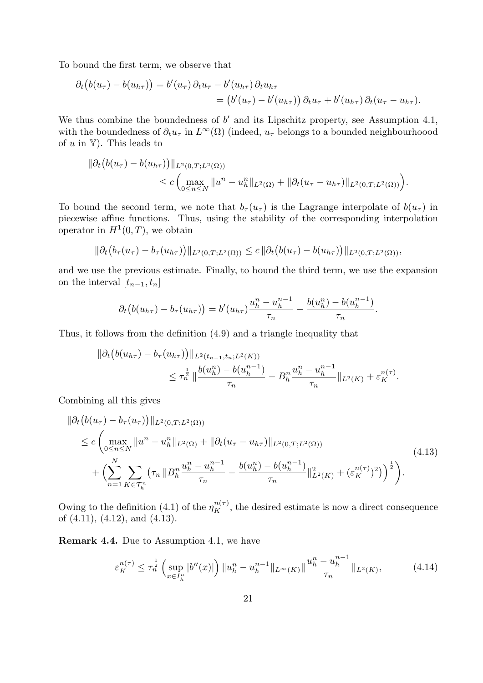To bound the first term, we observe that

$$
\partial_t (b(u_\tau) - b(u_{h\tau})) = b'(u_\tau) \partial_t u_\tau - b'(u_{h\tau}) \partial_t u_{h\tau}
$$
  
= 
$$
(b'(u_\tau) - b'(u_{h\tau})) \partial_t u_\tau + b'(u_{h\tau}) \partial_t (u_\tau - u_{h\tau}).
$$

We thus combine the boundedness of  $b'$  and its Lipschitz property, see Assumption 4.1, with the boundedness of  $\partial_t u_\tau$  in  $L^\infty(\Omega)$  (indeed,  $u_\tau$  belongs to a bounded neighbourhoood of  $u$  in  $Y$ ). This leads to

$$
\|\partial_t (b(u_\tau) - b(u_{h\tau}))\|_{L^2(0,T;L^2(\Omega))} \leq c \left( \max_{0 \leq n \leq N} \|u^n - u_h^n\|_{L^2(\Omega)} + \|\partial_t (u_\tau - u_{h\tau})\|_{L^2(0,T;L^2(\Omega))} \right).
$$

To bound the second term, we note that  $b_{\tau}(u_{\tau})$  is the Lagrange interpolate of  $b(u_{\tau})$  in piecewise affine functions. Thus, using the stability of the corresponding interpolation operator in  $H^1(0,T)$ , we obtain

$$
\|\partial_t (b_\tau(u_\tau) - b_\tau(u_{h\tau}))\|_{L^2(0,T;L^2(\Omega))} \leq c \|\partial_t (b(u_\tau) - b(u_{h\tau}))\|_{L^2(0,T;L^2(\Omega))},
$$

and we use the previous estimate. Finally, to bound the third term, we use the expansion on the interval  $[t_{n-1}, t_n]$ 

$$
\partial_t (b(u_{h\tau}) - b_\tau(u_{h\tau})) = b'(u_{h\tau}) \frac{u_h^n - u_h^{n-1}}{\tau_n} - \frac{b(u_h^n) - b(u_h^{n-1})}{\tau_n}.
$$

Thus, it follows from the definition (4.9) and a triangle inequality that

$$
\|\partial_t \left(b(u_{h\tau}) - b_\tau(u_{h\tau})\right)\|_{L^2(t_{n-1}, t_n; L^2(K))}
$$
  

$$
\leq \tau_n^{\frac{1}{2}} \|\frac{b(u_h^n) - b(u_h^{n-1})}{\tau_n} - B_h^n \frac{u_h^n - u_h^{n-1}}{\tau_n} \|_{L^2(K)} + \varepsilon_K^{n(\tau)}.
$$

Combining all this gives

$$
\|\partial_t \left(b(u_\tau) - b_\tau(u_\tau)\right)\|_{L^2(0,T;L^2(\Omega))} \n\leq c \left(\max_{0 \leq n \leq N} \|u^n - u_h^n\|_{L^2(\Omega)} + \|\partial_t(u_\tau - u_{h\tau})\|_{L^2(0,T;L^2(\Omega))} \n+ \left(\sum_{n=1}^N \sum_{K \in \mathcal{T}_h^n} \left(\tau_n \|B_h^n \frac{u_h^n - u_h^{n-1}}{\tau_n} - \frac{b(u_h^n) - b(u_h^{n-1})}{\tau_n}\right)\|_{L^2(K)}^2 + \left(\varepsilon_K^{n(\tau)}\right)^2\right)\right)^{\frac{1}{2}}\right).
$$
\n(4.13)

Owing to the definition (4.1) of the  $\eta_K^{n(\tau)}$ , the desired estimate is now a direct consequence of (4.11), (4.12), and (4.13).

Remark 4.4. Due to Assumption 4.1, we have

$$
\varepsilon_K^{n(\tau)} \le \tau_n^{\frac{1}{2}} \left( \sup_{x \in I_h^n} |b''(x)| \right) \|u_h^n - u_h^{n-1}\|_{L^\infty(K)} \|\frac{u_h^n - u_h^{n-1}}{\tau_n}\|_{L^2(K)},\tag{4.14}
$$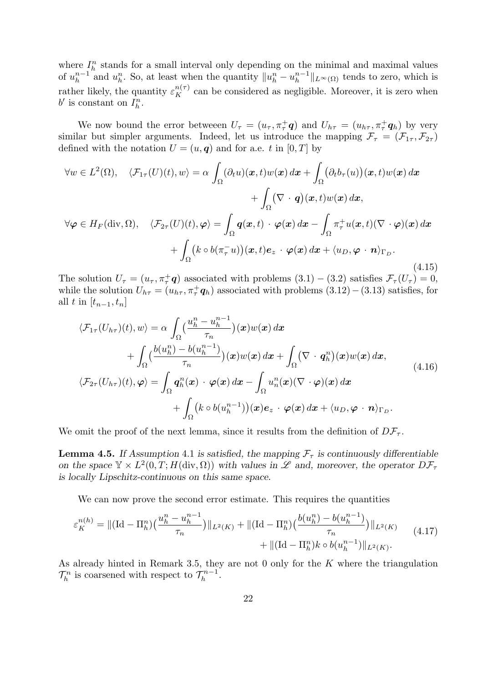where  $I_h^n$  stands for a small interval only depending on the minimal and maximal values of  $u_h^{n-1}$  $\int_{h}^{n-1}$  and  $u_h^n$ . So, at least when the quantity  $||u_h^n - u_h^{n-1}||$  $\|h^{n-1}\|_{L^{\infty}(\Omega)}$  tends to zero, which is rather likely, the quantity  $\varepsilon_K^{n(\tau)}$  can be considered as negligible. Moreover, it is zero when  $b'$  is constant on  $I_h^n$ .

We now bound the error betweeen  $U_{\tau} = (u_{\tau}, \pi_{\tau}^+ \mathbf{q})$  and  $U_{h\tau} = (u_{h\tau}, \pi_{\tau}^+ \mathbf{q}_h)$  by very similar but simpler arguments. Indeed, let us introduce the mapping  $\mathcal{F}_{\tau} = (\mathcal{F}_{1\tau}, \mathcal{F}_{2\tau})$ defined with the notation  $U = (u, q)$  and for a.e. t in [0, T] by

$$
\forall w \in L^{2}(\Omega), \quad \langle \mathcal{F}_{1\tau}(U)(t), w \rangle = \alpha \int_{\Omega} (\partial_{t}u)(\boldsymbol{x}, t)w(\boldsymbol{x}) d\boldsymbol{x} + \int_{\Omega} (\partial_{t}b_{\tau}(u))(\boldsymbol{x}, t)w(\boldsymbol{x}) d\boldsymbol{x} \n+ \int_{\Omega} (\nabla \cdot \boldsymbol{q})(\boldsymbol{x}, t)w(\boldsymbol{x}) d\boldsymbol{x}, \n\forall \varphi \in H_{F}(\text{div}, \Omega), \quad \langle \mathcal{F}_{2\tau}(U)(t), \varphi \rangle = \int_{\Omega} \boldsymbol{q}(\boldsymbol{x}, t) \cdot \varphi(\boldsymbol{x}) d\boldsymbol{x} - \int_{\Omega} \pi_{\tau}^{+}u(\boldsymbol{x}, t)(\nabla \cdot \varphi)(\boldsymbol{x}) d\boldsymbol{x} \n+ \int_{\Omega} (k \circ b(\pi_{\tau}^{-}u))(\boldsymbol{x}, t) e_{z} \cdot \varphi(\boldsymbol{x}) d\boldsymbol{x} + \langle u_{D}, \varphi \cdot \boldsymbol{n} \rangle_{\Gamma_{D}}.
$$
\n(4.15)

The solution  $U_{\tau} = (u_{\tau}, \pi_{\tau}^+ \mathbf{q})$  associated with problems  $(3.1) - (3.2)$  satisfies  $\mathcal{F}_{\tau}(U_{\tau}) = 0$ , while the solution  $U_{h\tau} = (u_{h\tau}, \pi^+_{\tau} q_h)$  associated with problems  $(3.12) - (3.13)$  satisfies, for all t in  $[t_{n-1}, t_n]$ 

$$
\langle \mathcal{F}_{1\tau}(U_{h\tau})(t), w \rangle = \alpha \int_{\Omega} \left( \frac{u_h^n - u_h^{n-1}}{\tau_n} \right) (\boldsymbol{x}) w(\boldsymbol{x}) \, d\boldsymbol{x} \n+ \int_{\Omega} \left( \frac{b(u_h^n) - b(u_h^{n-1})}{\tau_n} \right) (\boldsymbol{x}) w(\boldsymbol{x}) \, d\boldsymbol{x} + \int_{\Omega} (\nabla \cdot \boldsymbol{q}_h^n)(\boldsymbol{x}) w(\boldsymbol{x}) \, d\boldsymbol{x}, \n\langle \mathcal{F}_{2\tau}(U_{h\tau})(t), \varphi \rangle = \int_{\Omega} \boldsymbol{q}_h^n(\boldsymbol{x}) \cdot \varphi(\boldsymbol{x}) \, d\boldsymbol{x} - \int_{\Omega} u_n^n(\boldsymbol{x}) (\nabla \cdot \varphi)(\boldsymbol{x}) \, d\boldsymbol{x} \n+ \int_{\Omega} \left( k \circ b(u_h^{n-1}) \right) (\boldsymbol{x}) \boldsymbol{e}_z \cdot \varphi(\boldsymbol{x}) \, d\boldsymbol{x} + \langle u_D, \varphi \cdot \boldsymbol{n} \rangle_{\Gamma_D}.
$$
\n(4.16)

We omit the proof of the next lemma, since it results from the definition of  $D\mathcal{F}_{\tau}$ .

**Lemma 4.5.** If Assumption 4.1 is satisfied, the mapping  $\mathcal{F}_{\tau}$  is continuously differentiable on the space  $\mathbb{Y} \times L^2(0,T;H(\text{div},\Omega))$  with values in  $\mathscr L$  and, moreover, the operator  $D\mathcal F_\tau$ is locally Lipschitz-continuous on this same space.

We can now prove the second error estimate. This requires the quantities

$$
\varepsilon_K^{n(h)} = || (\mathrm{Id} - \Pi_h^n) \left( \frac{u_h^n - u_h^{n-1}}{\tau_n} \right) ||_{L^2(K)} + || (\mathrm{Id} - \Pi_h^n) \left( \frac{b(u_h^n) - b(u_h^{n-1})}{\tau_n} \right) ||_{L^2(K)} \\
+ || (\mathrm{Id} - \Pi_h^n) k \circ b(u_h^{n-1}) ||_{L^2(K)}.
$$
\n(4.17)

As already hinted in Remark 3.5, they are not  $0$  only for the  $K$  where the triangulation  $\mathcal{T}_h^n$  is coarsened with respect to  $\mathcal{T}_h^{n-1}$  $\frac{-n-1}{h}$ .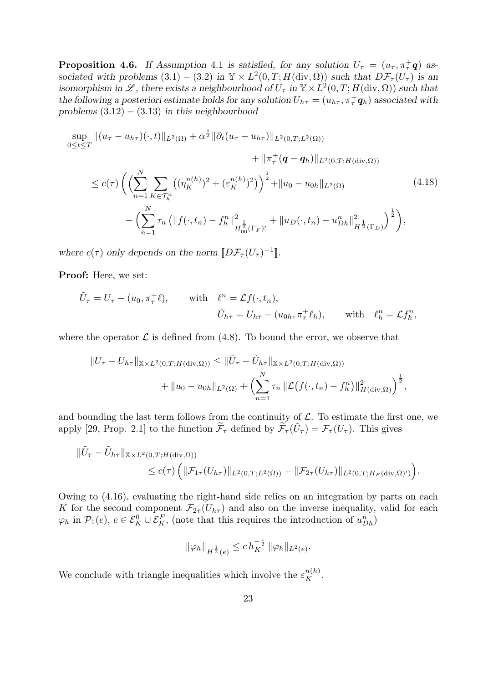**Proposition 4.6.** If Assumption 4.1 is satisfied, for any solution  $U_{\tau} = (u_{\tau}, \pi_{\tau}^+ \mathbf{q})$  associated with problems  $(3.1) - (3.2)$  in  $\mathbb{Y} \times L^2(0,T;H(\text{div}, \Omega))$  such that  $D\mathcal{F}_\tau(U_\tau)$  is an isomorphism in L, there exists a neighbourhood of  $U_{\tau}$  in  $\mathbb{Y} \times L^2(0,T;H(\text{div},\Omega))$  such that the following a posteriori estimate holds for any solution  $U_{h\tau} = (u_{h\tau}, \pi^+_{\tau} q_h)$  associated with problems  $(3.12) - (3.13)$  in this neighbourhood

$$
\sup_{0 \le t \le T} \|(u_{\tau} - u_{h\tau})(\cdot, t)\|_{L^{2}(\Omega)} + \alpha^{\frac{1}{2}} \|\partial_{t}(u_{\tau} - u_{h\tau})\|_{L^{2}(0,T;L^{2}(\Omega))} \n+ \|\pi_{\tau}^{+}(\mathbf{q} - \mathbf{q}_{h})\|_{L^{2}(0,T;H(\text{div},\Omega))} \n\le c(\tau) \left( \left( \sum_{n=1}^{N} \sum_{K \in \mathcal{T}_{h}^{n}} \left( (\eta_{K}^{n(h)})^{2} + (\varepsilon_{K}^{n(h)})^{2} \right) \right)^{\frac{1}{2}} + \|u_{0} - u_{0h}\|_{L^{2}(\Omega)} \n+ \left( \sum_{n=1}^{N} \tau_{n} \left( \|f(\cdot,t_{n}) - f_{h}^{n}\|_{H_{00}^{\frac{1}{2}}(\Gamma_{F})^{\prime}}^{2} + \|u_{D}(\cdot,t_{n}) - u_{Dh}^{n}\|_{H_{2}^{\frac{1}{2}}(\Gamma_{D})}^{2} \right) \right),
$$
\n(4.18)

where  $c(\tau)$  only depends on the norm  $[D\mathcal{F}_{\tau}(U_{\tau})^{-1}].$ 

Proof: Here, we set:

$$
\tilde{U}_{\tau} = U_{\tau} - (u_0, \pi_{\tau}^{\pm} \ell), \quad \text{with} \quad \ell^n = \mathcal{L}f(\cdot, t_n),
$$
\n
$$
\tilde{U}_{h\tau} = U_{h\tau} - (u_{0h}, \pi_{\tau}^{\pm} \ell_h), \quad \text{with} \quad \ell_h^n = \mathcal{L}f_h^n,
$$

where the operator  $\mathcal L$  is defined from (4.8). To bound the error, we observe that

$$
||U_{\tau} - U_{h\tau}||_{\mathbb{X} \times L^{2}(0,T;H(\text{div},\Omega))} \leq ||\tilde{U}_{\tau} - \tilde{U}_{h\tau}||_{\mathbb{X} \times L^{2}(0,T;H(\text{div},\Omega))}
$$
  
+ 
$$
||u_{0} - u_{0h}||_{L^{2}(\Omega)} + \left(\sum_{n=1}^{N} \tau_{n} ||\mathcal{L}(f(\cdot,t_{n}) - f_{h}^{n})||_{H(\text{div},\Omega)}^{2}\right)^{\frac{1}{2}},
$$

and bounding the last term follows from the continuity of  $\mathcal{L}$ . To estimate the first one, we apply [29, Prop. 2.1] to the function  $\tilde{\mathcal{F}}_{\tau}$  defined by  $\tilde{\mathcal{F}}_{\tau}(\tilde{U}_{\tau}) = \mathcal{F}_{\tau}(U_{\tau})$ . This gives

$$
\|\tilde{U}_{\tau}-\tilde{U}_{h\tau}\|_{\mathbb{X}\times L^{2}(0,T;H(\mathrm{div},\Omega))}\n\n\leq c(\tau)\left(\|\mathcal{F}_{1\tau}(U_{h\tau})\|_{L^{2}(0,T;L^{2}(\Omega))}+\|\mathcal{F}_{2\tau}(U_{h\tau})\|_{L^{2}(0,T;H_{F}(\mathrm{div},\Omega)')}\right).
$$

Owing to (4.16), evaluating the right-hand side relies on an integration by parts on each K for the second component  $\mathcal{F}_{2\tau}(U_{h\tau})$  and also on the inverse inequality, valid for each  $\varphi_h$  in  $\mathcal{P}_1(e)$ ,  $e \in \mathcal{E}_K^0 \cup \mathcal{E}_K^F$ , (note that this requires the introduction of  $u_{Dh}^n$ )

$$
\|\varphi_h\|_{H^{\frac{1}{2}}(e)} \leq c \, h_K^{-\frac{1}{2}} \, \|\varphi_h\|_{L^2(e)}.
$$

We conclude with triangle inequalities which involve the  $\varepsilon_K^{n(h)}$ .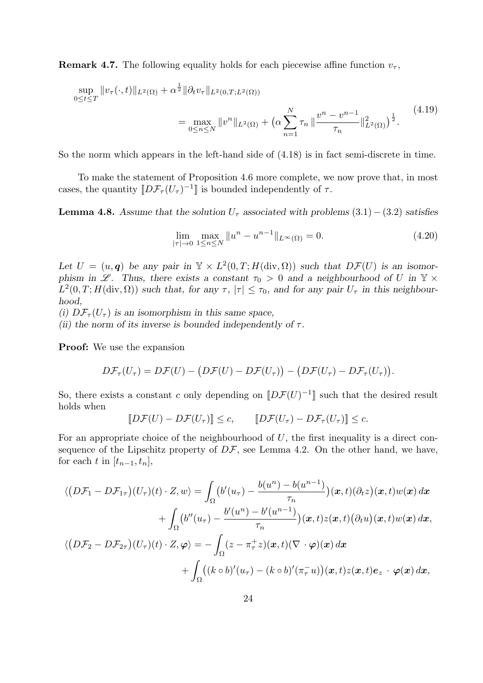**Remark 4.7.** The following equality holds for each piecewise affine function  $v_{\tau}$ ,

$$
\sup_{0 \le t \le T} ||v_{\tau}(\cdot, t)||_{L^{2}(\Omega)} + \alpha^{\frac{1}{2}} ||\partial_{t}v_{\tau}||_{L^{2}(0, T; L^{2}(\Omega))}
$$
\n
$$
= \max_{0 \le n \le N} ||v^{n}||_{L^{2}(\Omega)} + \left(\alpha \sum_{n=1}^{N} \tau_{n} ||\frac{v^{n} - v^{n-1}}{\tau_{n}}||_{L^{2}(\Omega)}^{2}\right)^{\frac{1}{2}}.
$$
\n(4.19)

So the norm which appears in the left-hand side of (4.18) is in fact semi-discrete in time.

To make the statement of Proposition 4.6 more complete, we now prove that, in most cases, the quantity  $[D\mathcal{F}_{\tau}(U_{\tau})^{-1}]$  is bounded independently of  $\tau$ .

**Lemma 4.8.** Assume that the solution  $U_{\tau}$  associated with problems (3.1) – (3.2) satisfies

$$
\lim_{|\tau| \to 0} \max_{1 \le n \le N} \|u^n - u^{n-1}\|_{L^\infty(\Omega)} = 0.
$$
\n(4.20)

Let  $U = (u, q)$  be any pair in  $\mathbb{Y} \times L^2(0,T;H(\text{div}, \Omega))$  such that  $D\mathcal{F}(U)$  is an isomorphism in  $\mathscr{L}$ . Thus, there exists a constant  $\tau_0 > 0$  and a neighbourhood of U in  $\mathbb{Y} \times$  $L^2(0,T;H(\text{div},\Omega))$  such that, for any  $\tau, |\tau| \leq \tau_0$ , and for any pair  $U_{\tau}$  in this neighbourhood,

(i)  $D\mathcal{F}_{\tau}(U_{\tau})$  is an isomorphism in this same space,

(ii) the norm of its inverse is bounded independently of  $\tau$ .

Proof: We use the expansion

$$
D\mathcal{F}_{\tau}(U_{\tau})=D\mathcal{F}(U)-\big(D\mathcal{F}(U)-D\mathcal{F}(U_{\tau})\big)-\big(D\mathcal{F}(U_{\tau})-D\mathcal{F}_{\tau}(U_{\tau})\big).
$$

So, there exists a constant c only depending on  $[*D* \mathcal{F}(U)^{-1}$  such that the desired result holds when

$$
[\![D\mathcal{F}(U) - D\mathcal{F}(U_{\tau})]\!] \leq c, \qquad [\![D\mathcal{F}(U_{\tau}) - D\mathcal{F}_{\tau}(U_{\tau})]\!] \leq c.
$$

For an appropriate choice of the neighbourhood of  $U$ , the first inequality is a direct consequence of the Lipschitz property of  $D\mathcal{F}$ , see Lemma 4.2. On the other hand, we have, for each t in  $[t_{n-1}, t_n]$ ,

$$
\langle (D\mathcal{F}_1 - D\mathcal{F}_{1\tau})(U_{\tau})(t) \cdot Z, w \rangle = \int_{\Omega} (b'(u_{\tau}) - \frac{b(u^n) - b(u^{n-1})}{\tau_n})(x, t)(\partial_t z)(x, t)w(x) dx \n+ \int_{\Omega} (b''(u_{\tau}) - \frac{b'(u^n) - b'(u^{n-1})}{\tau_n})(x, t)z(x, t)(\partial_t u)(x, t)w(x) dx, \n\langle (D\mathcal{F}_2 - D\mathcal{F}_{2\tau})(U_{\tau})(t) \cdot Z, \varphi \rangle = - \int_{\Omega} (z - \pi_{\tau}^{\pm} z)(x, t)(\nabla \cdot \varphi)(x) dx \n+ \int_{\Omega} ((k \circ b)'(u_{\tau}) - (k \circ b)'(\pi_{\tau}^{-} u))(x, t)z(x, t)e_z \cdot \varphi(x) dx,
$$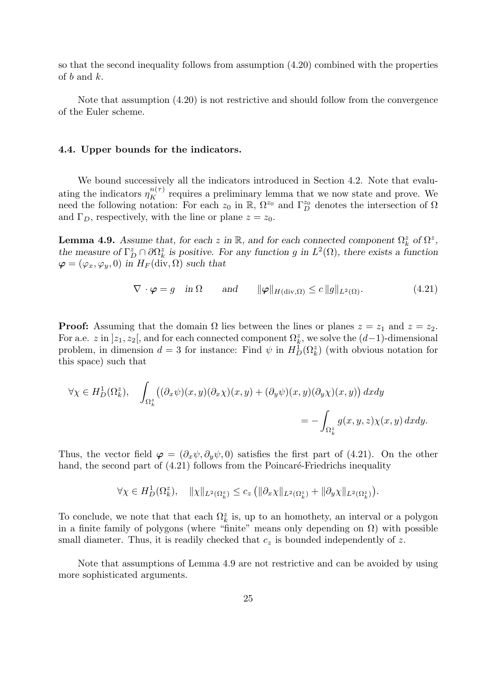so that the second inequality follows from assumption (4.20) combined with the properties of b and k.

Note that assumption (4.20) is not restrictive and should follow from the convergence of the Euler scheme.

#### 4.4. Upper bounds for the indicators.

We bound successively all the indicators introduced in Section 4.2. Note that evaluating the indicators  $\eta_K^{n(\tau)}$  requires a preliminary lemma that we now state and prove. We need the following notation: For each  $z_0$  in R,  $\Omega^{z_0}$  and  $\Gamma^{z_0}_D$  denotes the intersection of  $\Omega$ and  $\Gamma_D$ , respectively, with the line or plane  $z = z_0$ .

**Lemma 4.9.** Assume that, for each z in  $\mathbb{R}$ , and for each connected component  $\Omega_k^z$  of  $\Omega^z$ , the measure of  $\Gamma_D^z \cap \partial \Omega_k^z$  is positive. For any function g in  $L^2(\Omega)$ , there exists a function  $\varphi = (\varphi_x, \varphi_y, 0)$  in  $H_F(\text{div}, \Omega)$  such that

$$
\nabla \cdot \boldsymbol{\varphi} = g \quad \text{in } \Omega \qquad \text{and} \qquad \|\boldsymbol{\varphi}\|_{H(\text{div}, \Omega)} \le c \, \|g\|_{L^2(\Omega)}. \tag{4.21}
$$

**Proof:** Assuming that the domain  $\Omega$  lies between the lines or planes  $z = z_1$  and  $z = z_2$ . For a.e. z in  $]z_1, z_2[$ , and for each connected component  $\Omega_k^z$ , we solve the  $(d-1)$ -dimensional problem, in dimension  $d=3$  for instance: Find  $\psi$  in  $H_D^1(\Omega_k^z)$  (with obvious notation for this space) such that

$$
\forall \chi \in H_D^1(\Omega_k^z), \quad \int_{\Omega_k^z} \left( (\partial_x \psi)(x, y)(\partial_x \chi)(x, y) + (\partial_y \psi)(x, y)(\partial_y \chi)(x, y) \right) dx dy
$$
  
= 
$$
- \int_{\Omega_k^z} g(x, y, z) \chi(x, y) dx dy.
$$

Thus, the vector field  $\boldsymbol{\varphi} = (\partial_x \psi, \partial_y \psi, 0)$  satisfies the first part of (4.21). On the other hand, the second part of  $(4.21)$  follows from the Poincaré-Friedrichs inequality

$$
\forall \chi \in H_D^1(\Omega_k^z), \quad \|\chi\|_{L^2(\Omega_k^z)} \leq c_z \left( \|\partial_x \chi\|_{L^2(\Omega_k^z)} + \|\partial_y \chi\|_{L^2(\Omega_k^z)} \right).
$$

To conclude, we note that that each  $\Omega_k^z$  is, up to an homothety, an interval or a polygon in a finite family of polygons (where "finite" means only depending on  $\Omega$ ) with possible small diameter. Thus, it is readily checked that  $c<sub>z</sub>$  is bounded independently of z.

Note that assumptions of Lemma 4.9 are not restrictive and can be avoided by using more sophisticated arguments.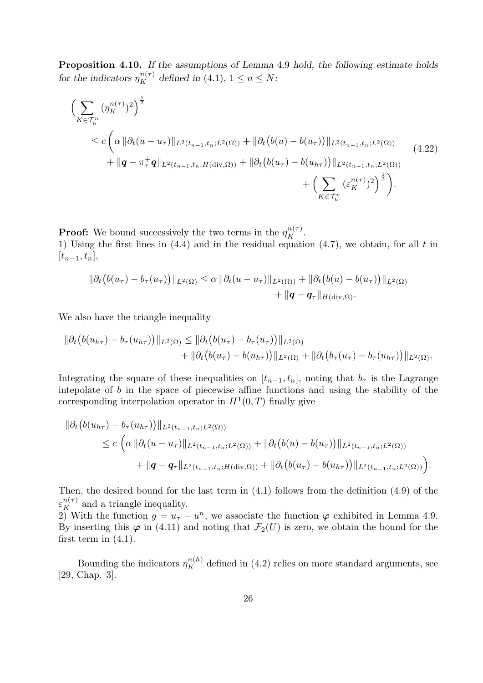Proposition 4.10. If the assumptions of Lemma 4.9 hold, the following estimate holds for the indicators  $\eta_K^{n(\tau)}$  defined in (4.1),  $1 \le n \le N$ :

$$
\left(\sum_{K\in\mathcal{T}_h^n} (\eta_K^{n(\tau)})^2\right)^{\frac{1}{2}}\n\leq c \left(\alpha \|\partial_t (u - u_\tau)\|_{L^2(t_{n-1}, t_n; L^2(\Omega))} + \|\partial_t (b(u) - b(u_\tau))\|_{L^2(t_{n-1}, t_n; L^2(\Omega))}\n+ \|q - \pi_\tau^+ q\|_{L^2(t_{n-1}, t_n; H(\text{div}, \Omega))} + \|\partial_t (b(u_\tau) - b(u_{h_\tau}))\|_{L^2(t_{n-1}, t_n; L^2(\Omega))}\n+ \left(\sum_{K\in\mathcal{T}_h^n} (\varepsilon_K^{n(\tau)})^2\right)^{\frac{1}{2}}\right).
$$
\n(4.22)

**Proof:** We bound successively the two terms in the  $\eta_K^{n(\tau)}$ . 1) Using the first lines in  $(4.4)$  and in the residual equation  $(4.7)$ , we obtain, for all t in  $[t_{n-1}, t_n],$ 

$$
\|\partial_t (b(u_\tau)-b_\tau(u_\tau))\|_{L^2(\Omega)} \leq \alpha \|\partial_t (u-u_\tau)\|_{L^2(\Omega)} + \|\partial_t (b(u)-b(u_\tau))\|_{L^2(\Omega)} + \|\boldsymbol{q}-\boldsymbol{q}_\tau\|_{H(\text{div},\Omega)}.
$$

We also have the triangle inequality

$$
\|\partial_t (b(u_{h\tau}) - b_{\tau}(u_{h\tau}))\|_{L^2(\Omega)} \leq \|\partial_t (b(u_{\tau}) - b_{\tau}(u_{\tau}))\|_{L^2(\Omega)} + \|\partial_t (b(u_{\tau}) - b(u_{h\tau}))\|_{L^2(\Omega)} + \|\partial_t (b_{\tau}(u_{\tau}) - b_{\tau}(u_{h\tau}))\|_{L^2(\Omega)}.
$$

Integrating the square of these inequalities on  $[t_{n-1}, t_n]$ , noting that  $b_{\tau}$  is the Lagrange intepolate of  $b$  in the space of piecewise affine functions and using the stability of the corresponding interpolation operator in  $H^1(0,T)$  finally give

$$
\|\partial_t (b(u_{h\tau}) - b_\tau(u_{h\tau}))\|_{L^2(t_{n-1}, t_n; L^2(\Omega))} \n\leq c \left( \alpha \|\partial_t (u - u_\tau)\|_{L^2(t_{n-1}, t_n; L^2(\Omega))} + \|\partial_t (b(u) - b(u_\tau))\|_{L^2(t_{n-1}, t_n; L^2(\Omega))} + \|q - q_\tau\|_{L^2(t_{n-1}, t_n; H(\text{div}, \Omega))} + \|\partial_t (b(u_\tau) - b(u_{h\tau}))\|_{L^2(t_{n-1}, t_n; L^2(\Omega))} \right).
$$

Then, the desired bound for the last term in (4.1) follows from the definition (4.9) of the  $\varepsilon_K^{n(\tau)}$  and a triangle inequality.

2) With the function  $g = u_{\tau} - u^n$ , we associate the function  $\varphi$  exhibited in Lemma 4.9. By inserting this  $\varphi$  in (4.11) and noting that  $\mathcal{F}_2(U)$  is zero, we obtain the bound for the first term in  $(4.1)$ .

Bounding the indicators  $\eta_K^{n(h)}$  defined in (4.2) relies on more standard arguments, see [29, Chap. 3].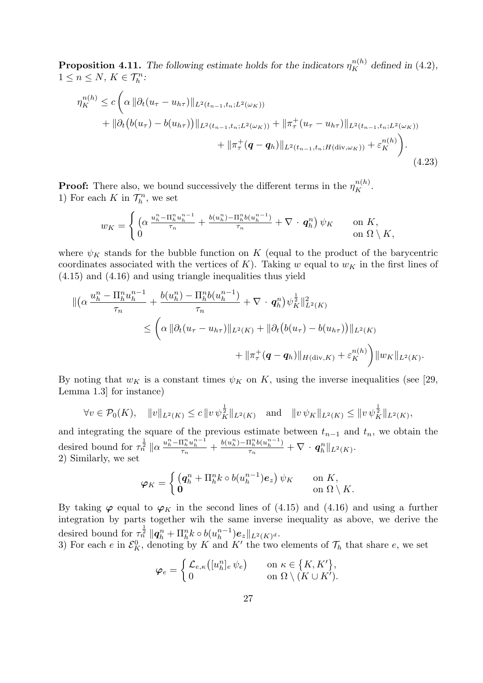**Proposition 4.11.** The following estimate holds for the indicators  $\eta_K^{n(h)}$  defined in (4.2),  $1 \leq n \leq N$ ,  $K \in \mathcal{T}_h^n$ :

$$
\eta_K^{n(h)} \le c \left( \alpha \left\| \partial_t (u_\tau - u_{h\tau}) \right\|_{L^2(t_{n-1}, t_n; L^2(\omega_K))} + \|\partial_t (b(u_\tau) - b(u_{h\tau}))\|_{L^2(t_{n-1}, t_n; L^2(\omega_K))} + \|\pi_\tau^+(u_\tau - u_{h\tau})\|_{L^2(t_{n-1}, t_n; L^2(\omega_K))} + \|\pi_\tau^+(q - q_h)\|_{L^2(t_{n-1}, t_n; H(\text{div}, \omega_K))} + \varepsilon_K^{n(h)} \right). \tag{4.23}
$$

**Proof:** There also, we bound successively the different terms in the  $\eta_K^{n(h)}$ . 1) For each  $K$  in  $\mathcal{T}_h^n$ , we set

$$
w_K = \begin{cases} \left( \alpha \frac{u_h^n - \Pi_h^n u_h^{n-1}}{\tau_n} + \frac{b(u_h^n) - \Pi_h^n b(u_h^{n-1})}{\tau_n} + \nabla \cdot \boldsymbol{q}_h^n \right) \psi_K & \text{on } K, \\ 0 & \text{on } \Omega \setminus K, \end{cases}
$$

where  $\psi_K$  stands for the bubble function on K (equal to the product of the barycentric coordinates associated with the vertices of K). Taking w equal to  $w_K$  in the first lines of (4.15) and (4.16) and using triangle inequalities thus yield

$$
\begin{split} \|\left(\alpha \frac{u_h^n - \Pi_h^n u_h^{n-1}}{\tau_n} + \frac{b(u_h^n) - \Pi_h^n b(u_h^{n-1})}{\tau_n} + \nabla \cdot q_h^n \right) \psi_K^{\frac{1}{2}} \|_{L^2(K)}^2 \\ &\leq \left(\alpha \|\partial_t (u_\tau - u_{h\tau})\|_{L^2(K)} + \|\partial_t \left(b(u_\tau) - b(u_{h\tau})\right)\|_{L^2(K)} \\ &\qquad + \|\pi_\tau^+(q - q_h)\|_{H(\text{div},K)} + \varepsilon_K^{n(h)} \right) \|w_K\|_{L^2(K)}.\end{split}
$$

By noting that  $w_K$  is a constant times  $\psi_K$  on K, using the inverse inequalities (see [29, Lemma 1.3] for instance)

$$
\forall v \in \mathcal{P}_0(K), \quad \|v\|_{L^2(K)} \le c \|v \psi_K^{\frac{1}{2}}\|_{L^2(K)} \quad \text{and} \quad \|v \psi_K\|_{L^2(K)} \le \|v \psi_K^{\frac{1}{2}}\|_{L^2(K)},
$$

and integrating the square of the previous estimate between  $t_{n-1}$  and  $t_n$ , we obtain the desired bound for  $\tau_n^{\frac{1}{2}} \|\alpha \frac{u_h^n - \Pi_h^n u_h^{n-1}}{\tau_n} + \frac{b(u_h^n) - \Pi_h^n b(u_h^{n-1})}{\tau_n}$  $\frac{\mathbf{1}_h^{\scriptscriptstyle\top} b(u_h^{\scriptscriptstyle\top})}{\tau_n} + \nabla \cdot \boldsymbol{q}_h^n \|_{L^2(K)}.$ 2) Similarly, we set

$$
\varphi_K = \begin{cases} \left( \mathbf{q}_h^n + \Pi_h^n k \circ b(u_h^{n-1}) \mathbf{e}_z \right) \psi_K & \text{on } K, \\ \mathbf{0} & \text{on } \Omega \setminus K. \end{cases}
$$

By taking  $\varphi$  equal to  $\varphi_K$  in the second lines of (4.15) and (4.16) and using a further integration by parts together wih the same inverse inequality as above, we derive the desired bound for  $\tau_n^{\frac{1}{2}} \|q_h^n + \Pi_h^n k \circ b(u_h^{n-1})$  $\binom{n-1}{h} \boldsymbol{e}_z \Vert_{L^2(K)^d}.$ 

3) For each e in  $\mathcal{E}_K^0$ , denoting by K and K' the two elements of  $\mathcal{T}_h$  that share e, we set

$$
\boldsymbol{\varphi}_e = \begin{cases} \mathcal{L}_{e,\kappa}\big([u_h^n]_e \,\psi_e\big) & \text{on } \kappa \in \{K,K'\}, \\ 0 & \text{on } \Omega \setminus (K \cup K'). \end{cases}
$$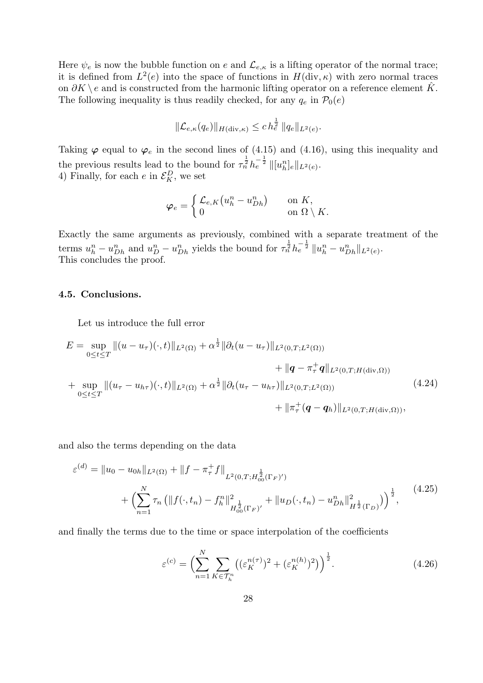Here  $\psi_e$  is now the bubble function on e and  $\mathcal{L}_{e,\kappa}$  is a lifting operator of the normal trace; it is defined from  $L^2(e)$  into the space of functions in  $H(\text{div}, \kappa)$  with zero normal traces on  $\partial K \backslash e$  and is constructed from the harmonic lifting operator on a reference element  $\hat{K}$ . The following inequality is thus readily checked, for any  $q_e$  in  $\mathcal{P}_0(e)$ 

$$
\|\mathcal{L}_{e,\kappa}(q_e)\|_{H(\text{div},\kappa)} \leq c h_e^{\frac{1}{2}} \|q_e\|_{L^2(e)}.
$$

Taking  $\varphi$  equal to  $\varphi_e$  in the second lines of (4.15) and (4.16), using this inequality and the previous results lead to the bound for  $\tau_n^{\frac{1}{2}} h_e^{-\frac{1}{2}} ||[u_h^n]_e||_{L^2(e)}$ . 4) Finally, for each  $e$  in  $\mathcal{E}_K^D$ , we set

$$
\varphi_e = \begin{cases} \mathcal{L}_{e,K}(u_h^n - u_{Dh}^n) & \text{on } K, \\ 0 & \text{on } \Omega \setminus K. \end{cases}
$$

Exactly the same arguments as previously, combined with a separate treatment of the terms  $u_h^n - u_{Dh}^n$  and  $u_D^n - u_{Dh}^n$  yields the bound for  $\tau_n^{\frac{1}{2}} h_e^{-\frac{1}{2}} ||u_h^n - u_{Dh}^n||_{L^2(e)}$ . This concludes the proof.

#### 4.5. Conclusions.

Let us introduce the full error

$$
E = \sup_{0 \le t \le T} ||(u - u_{\tau})(\cdot, t)||_{L^{2}(\Omega)} + \alpha^{\frac{1}{2}} ||\partial_{t}(u - u_{\tau})||_{L^{2}(0,T;L^{2}(\Omega))}
$$
  
+  $||q - \pi_{\tau}^{+}q||_{L^{2}(0,T;H(\text{div},\Omega))}$   
+  $\sup_{0 \le t \le T} ||(u_{\tau} - u_{h\tau})(\cdot, t)||_{L^{2}(\Omega)} + \alpha^{\frac{1}{2}} ||\partial_{t}(u_{\tau} - u_{h\tau})||_{L^{2}(0,T;L^{2}(\Omega))}$   
+  $||\pi_{\tau}^{+}(q - q_{h})||_{L^{2}(0,T;H(\text{div},\Omega))}$ , (4.24)

and also the terms depending on the data

$$
\varepsilon^{(d)} = \|u_0 - u_{0h}\|_{L^2(\Omega)} + \|f - \pi_\tau^+ f\|_{L^2(0,T;H_{00}^{\frac{1}{2}}(\Gamma_F)')} + \left(\sum_{n=1}^N \tau_n \left(\|f(\cdot,t_n) - f_h^n\|_{H_{00}^{\frac{1}{2}}(\Gamma_F)'}^2 + \|u_D(\cdot,t_n) - u_{Dh}^n\|_{H^{\frac{1}{2}}(\Gamma_D)}^2\right)\right)^{\frac{1}{2}},
$$
(4.25)

and finally the terms due to the time or space interpolation of the coefficients

$$
\varepsilon^{(c)} = \left(\sum_{n=1}^{N} \sum_{K \in \mathcal{T}_h^n} \left( (\varepsilon_K^{n(\tau)})^2 + (\varepsilon_K^{n(h)})^2 \right) \right)^{\frac{1}{2}}.
$$
 (4.26)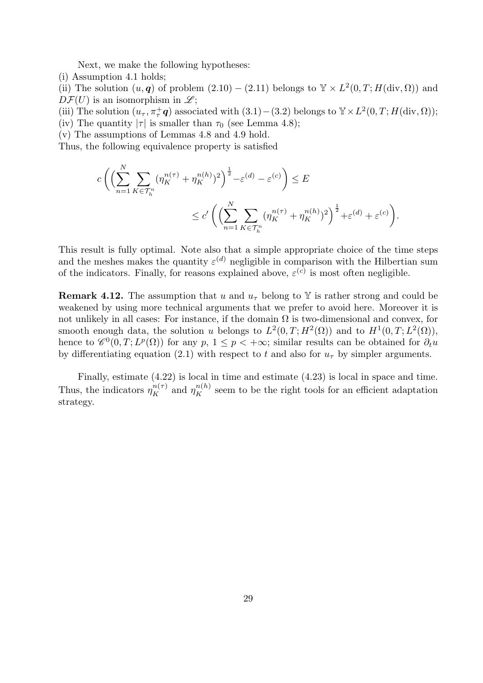Next, we make the following hypotheses:

(i) Assumption 4.1 holds;

(ii) The solution  $(u, q)$  of problem  $(2.10) - (2.11)$  belongs to  $\mathbb{Y} \times L^2(0,T; H(\text{div}, \Omega))$  and  $D\mathcal{F}(U)$  is an isomorphism in  $\mathscr{L};$ 

(iii) The solution  $(u_\tau, \pi_\tau^+ \mathbf{q})$  associated with  $(3.1) - (3.2)$  belongs to  $\mathbb{Y} \times L^2(0, T; H(\text{div}, \Omega));$ 

- (iv) The quantity  $|\tau|$  is smaller than  $\tau_0$  (see Lemma 4.8);
- (v) The assumptions of Lemmas 4.8 and 4.9 hold.

Thus, the following equivalence property is satisfied

$$
c\left(\left(\sum_{n=1}^N\sum_{K\in\mathcal{T}_h^n}(\eta_K^{n(\tau)}+\eta_K^{n(h)})^2\right)^{\frac{1}{2}}-\varepsilon^{(d)}-\varepsilon^{(c)}\right)\leq E
$$
  

$$
\leq c'\left(\left(\sum_{n=1}^N\sum_{K\in\mathcal{T}_h^n}(\eta_K^{n(\tau)}+\eta_K^{n(h)})^2\right)^{\frac{1}{2}}+\varepsilon^{(d)}+\varepsilon^{(c)}\right).
$$

This result is fully optimal. Note also that a simple appropriate choice of the time steps and the meshes makes the quantity  $\varepsilon^{(d)}$  negligible in comparison with the Hilbertian sum of the indicators. Finally, for reasons explained above,  $\varepsilon^{(c)}$  is most often negligible.

**Remark 4.12.** The assumption that u and  $u<sub>\tau</sub>$  belong to Y is rather strong and could be weakened by using more technical arguments that we prefer to avoid here. Moreover it is not unlikely in all cases: For instance, if the domain  $\Omega$  is two-dimensional and convex, for smooth enough data, the solution u belongs to  $L^2(0,T;H^2(\Omega))$  and to  $H^1(0,T;L^2(\Omega))$ , hence to  $\mathscr{C}^0(0,T;L^p(\Omega))$  for any  $p, 1 \leq p < +\infty$ ; similar results can be obtained for  $\partial_t u$ by differentiating equation (2.1) with respect to t and also for  $u<sub>\tau</sub>$  by simpler arguments.

Finally, estimate (4.22) is local in time and estimate (4.23) is local in space and time. Thus, the indicators  $\eta_K^{n(\tau)}$  and  $\eta_K^{n(h)}$  seem to be the right tools for an efficient adaptation strategy.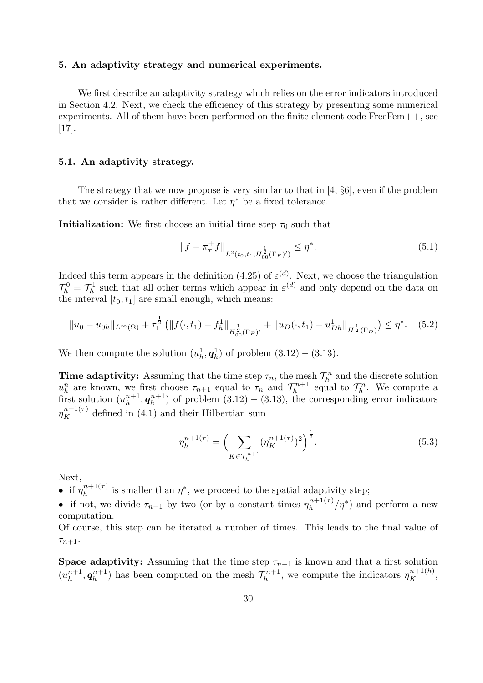#### 5. An adaptivity strategy and numerical experiments.

We first describe an adaptivity strategy which relies on the error indicators introduced in Section 4.2. Next, we check the efficiency of this strategy by presenting some numerical experiments. All of them have been performed on the finite element code FreeFem++, see [17].

#### 5.1. An adaptivity strategy.

The strategy that we now propose is very similar to that in [4, §6], even if the problem that we consider is rather different. Let  $\eta^*$  be a fixed tolerance.

**Initialization:** We first choose an initial time step  $\tau_0$  such that

$$
||f - \pi_{\tau}^{+} f||_{L^{2}(t_{0}, t_{1}; H_{00}^{\frac{1}{2}}(\Gamma_{F})')} \leq \eta^{*}.
$$
\n(5.1)

Indeed this term appears in the definition (4.25) of  $\varepsilon^{(d)}$ . Next, we choose the triangulation  $\mathcal{T}_h^0 = \mathcal{T}_h^1$  such that all other terms which appear in  $\varepsilon^{(d)}$  and only depend on the data on the interval  $[t_0, t_1]$  are small enough, which means:

$$
||u_0 - u_{0h}||_{L^{\infty}(\Omega)} + \tau_1^{\frac{1}{2}} \left( ||f(\cdot, t_1) - f_h^1||_{H^{\frac{1}{2}}_{00}(\Gamma_F)'} + ||u_D(\cdot, t_1) - u_{Dh}^1||_{H^{\frac{1}{2}}(\Gamma_D)} \right) \leq \eta^*.
$$
 (5.2)

We then compute the solution  $(u_h^1, \mathbf{q}_h^1)$  of problem  $(3.12) - (3.13)$ .

**Time adaptivity:** Assuming that the time step  $\tau_n$ , the mesh  $\mathcal{T}_h^n$  and the discrete solution  $u_h^n$  are known, we first choose  $\tau_{n+1}$  equal to  $\tau_n$  and  $\mathcal{T}_h^{n+1}$  $\tau_h^{n+1}$  equal to  $\mathcal{T}_h^n$ . We compute a first solution  $(u_h^{n+1})$  $_{h}^{n+1},\boldsymbol{q}_{h}^{n+1}$  $\binom{n+1}{h}$  of problem  $(3.12) - (3.13)$ , the corresponding error indicators  $\eta_K^{n+1(\tau)}$  defined in (4.1) and their Hilbertian sum

$$
\eta_h^{n+1(\tau)} = \left(\sum_{K \in \mathcal{T}_h^{n+1}} (\eta_K^{n+1(\tau)})^2\right)^{\frac{1}{2}}.
$$
\n(5.3)

Next,

• if  $\eta_h^{n+1(\tau)}$  $\eta_h^{n+1(\tau)}$  is smaller than  $\eta^*$ , we proceed to the spatial adaptivity step;

• if not, we divide  $\tau_{n+1}$  by two (or by a constant times  $\eta_h^{n+1(\tau)}$  $\binom{n+1(\tau)}{h}$  and perform a new computation.

Of course, this step can be iterated a number of times. This leads to the final value of  $\tau_{n+1}.$ 

**Space adaptivity:** Assuming that the time step  $\tau_{n+1}$  is known and that a first solution  $(u_h^{n+1})$  $_{h}^{n+1},\boldsymbol{q}_{h}^{n+1}$  $\binom{n+1}{h}$  has been computed on the mesh  $\mathcal{T}_h^{n+1}$  $\eta_h^{n+1}$ , we compute the indicators  $\eta_K^{n+1(h)}$ ,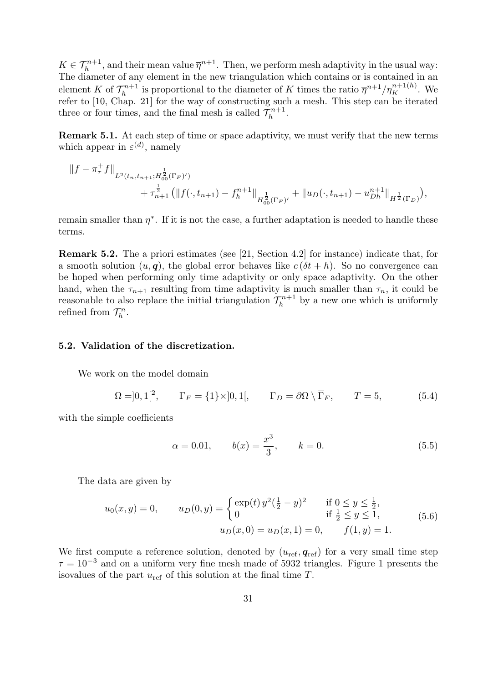$K \in \mathcal{T}_h^{n+1}$ , and their mean value  $\overline{\eta}^{n+1}$ . Then, we perform mesh adaptivity in the usual way: The diameter of any element in the new triangulation which contains or is contained in an element K of  $\mathcal{T}_h^{n+1}$  $\bar{h}_h^{n+1}$  is proportional to the diameter of K times the ratio  $\bar{\eta}^{n+1}/\eta_K^{n+1(h)}$ . We refer to [10, Chap. 21] for the way of constructing such a mesh. This step can be iterated three or four times, and the final mesh is called  $\mathcal{T}_h^{n+1}$  $\frac{-n+1}{h}$ .

Remark 5.1. At each step of time or space adaptivity, we must verify that the new terms which appear in  $\varepsilon^{(d)}$ , namely

$$
||f - \pi_\tau^+ f||_{L^2(t_n, t_{n+1}; H_{00}^{\frac{1}{2}}(\Gamma_F)')}\n+ \tau_{n+1}^{\frac{1}{2}} \left( ||f(\cdot, t_{n+1}) - f_h^{n+1}||_{H_{00}^{\frac{1}{2}}(\Gamma_F)'} + ||u_D(\cdot, t_{n+1}) - u_{Dh}^{n+1}||_{H^{\frac{1}{2}}(\Gamma_D)} \right),
$$

remain smaller than  $\eta^*$ . If it is not the case, a further adaptation is needed to handle these terms.

Remark 5.2. The a priori estimates (see [21, Section 4.2] for instance) indicate that, for a smooth solution  $(u, q)$ , the global error behaves like  $c(\delta t + h)$ . So no convergence can be hoped when performing only time adaptivity or only space adaptivity. On the other hand, when the  $\tau_{n+1}$  resulting from time adaptivity is much smaller than  $\tau_n$ , it could be reasonable to also replace the initial triangulation  $\mathcal{T}_h^{n+1}$  $\lambda_h^{n+1}$  by a new one which is uniformly refined from  $\mathcal{T}_h^n$ .

#### 5.2. Validation of the discretization.

We work on the model domain

$$
\Omega = ]0,1[^2, \qquad \Gamma_F = \{1\} \times ]0,1[, \qquad \Gamma_D = \partial \Omega \setminus \overline{\Gamma}_F, \qquad T = 5, \tag{5.4}
$$

with the simple coefficients

$$
\alpha = 0.01,
$$
\n $b(x) = \frac{x^3}{3},$ \n $k = 0.$ \n(5.5)

The data are given by

$$
u_0(x, y) = 0, \t u_D(0, y) = \begin{cases} \exp(t) y^2 (\frac{1}{2} - y)^2 & \text{if } 0 \le y \le \frac{1}{2}, \\ 0 & \text{if } \frac{1}{2} \le y \le 1, \end{cases}
$$
  

$$
u_D(x, 0) = u_D(x, 1) = 0, \t f(1, y) = 1.
$$
 (5.6)

We first compute a reference solution, denoted by  $(u_{\text{ref}}, q_{\text{ref}})$  for a very small time step  $\tau = 10^{-3}$  and on a uniform very fine mesh made of 5932 triangles. Figure 1 presents the isovalues of the part  $u_{ref}$  of this solution at the final time  $T$ .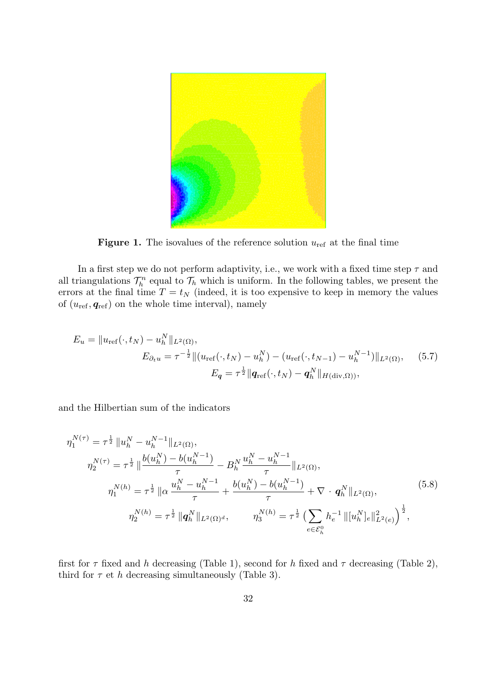

**Figure 1.** The isovalues of the reference solution  $u_{ref}$  at the final time

In a first step we do not perform adaptivity, i.e., we work with a fixed time step  $\tau$  and all triangulations  $\mathcal{T}_h^n$  equal to  $\mathcal{T}_h$  which is uniform. In the following tables, we present the errors at the final time  $T = t_N$  (indeed, it is too expensive to keep in memory the values of  $(u_{\text{ref}}, \mathbf{q}_{\text{ref}})$  on the whole time interval), namely

$$
E_u = \|u_{\text{ref}}(\cdot, t_N) - u_h^N\|_{L^2(\Omega)},
$$
  
\n
$$
E_{\partial_t u} = \tau^{-\frac{1}{2}} \|(u_{\text{ref}}(\cdot, t_N) - u_h^N) - (u_{\text{ref}}(\cdot, t_{N-1}) - u_h^{N-1})\|_{L^2(\Omega)},
$$
\n
$$
E_q = \tau^{\frac{1}{2}} \|\mathbf{q}_{\text{ref}}(\cdot, t_N) - \mathbf{q}_h^N\|_{H(\text{div}, \Omega)},
$$
\n(5.7)

and the Hilbertian sum of the indicators

$$
\eta_1^{N(\tau)} = \tau^{\frac{1}{2}} \|u_h^N - u_h^{N-1}\|_{L^2(\Omega)},
$$
\n
$$
\eta_2^{N(\tau)} = \tau^{\frac{1}{2}} \|\frac{b(u_h^N) - b(u_h^{N-1})}{\tau} - B_h^N \frac{u_h^N - u_h^{N-1}}{\tau} \|_{L^2(\Omega)},
$$
\n
$$
\eta_1^{N(h)} = \tau^{\frac{1}{2}} \|\alpha \frac{u_h^N - u_h^{N-1}}{\tau} + \frac{b(u_h^N) - b(u_h^{N-1})}{\tau} + \nabla \cdot q_h^N \|_{L^2(\Omega)},
$$
\n
$$
\eta_2^{N(h)} = \tau^{\frac{1}{2}} \|q_h^N\|_{L^2(\Omega)^d}, \qquad \eta_3^{N(h)} = \tau^{\frac{1}{2}} \left( \sum_{e \in \mathcal{E}_h^0} h_e^{-1} \| [u_h^N]_e \|_{L^2(e)}^2 \right)^{\frac{1}{2}},
$$
\n
$$
(5.8)
$$

first for  $\tau$  fixed and h decreasing (Table 1), second for h fixed and  $\tau$  decreasing (Table 2), third for  $\tau$  et h decreasing simultaneously (Table 3).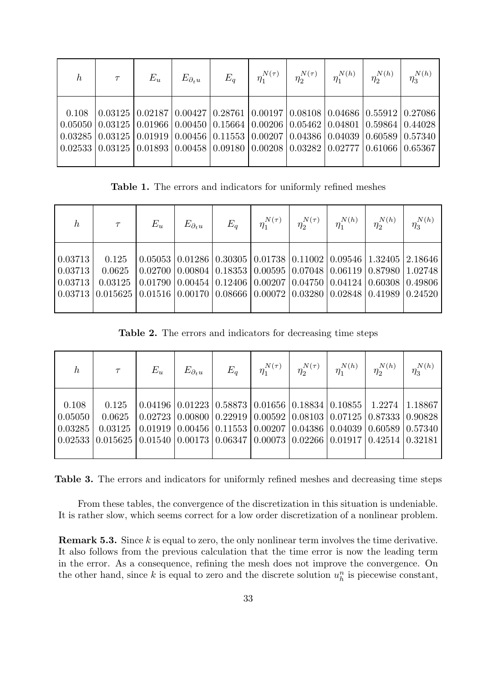| $\boldsymbol{h}$ | $\tau$                                                                                                                                                                                                                                                                                                            | $E_u$                                                                                                              | $E_{\partial_t u}$ | $E_a$ | $\eta_1^{N(\tau)}$ | $\eta_2^{N(\tau)}$ | $\eta_1^{N(h)}$ | $\eta_2^{N(h)}$ | $\eta_3^{N(h)}$ |
|------------------|-------------------------------------------------------------------------------------------------------------------------------------------------------------------------------------------------------------------------------------------------------------------------------------------------------------------|--------------------------------------------------------------------------------------------------------------------|--------------------|-------|--------------------|--------------------|-----------------|-----------------|-----------------|
| 0.108            | $0.05050   0.03125   0.01966   0.00450   0.15664   0.00206   0.05462   0.04801   0.59864   0.44028$<br>$0.03285   0.03125   0.01919   0.00456   0.11553   0.00207   0.04386   0.04039   0.60589   0.57340$<br>$0.02533   0.03125   0.01893   0.00458   0.09180   0.00208   0.03282   0.02777   0.61066   0.65367$ | $(0.03125 \mid 0.02187 \mid 0.00427 \mid 0.28761 \mid 0.00197 \mid 0.08108 \mid 0.04686 \mid 0.55912 \mid 0.27086$ |                    |       |                    |                    |                 |                 |                 |

Table 1. The errors and indicators for uniformly refined meshes

| $\boldsymbol{h}$                          | $\tau$                                                                                                                                                          | $E_u\,$ | $E_{\partial_t u}$ | $E_a$                                                                                                                                                                                                                                                          | . $\eta_1^{N(\tau)}$ | $\eta_2^{N(\tau)}$ | $\eta_1^{N(h)}$ | $\eta_2^{N(h)}$ | $\eta_3^{N(h)}$ |
|-------------------------------------------|-----------------------------------------------------------------------------------------------------------------------------------------------------------------|---------|--------------------|----------------------------------------------------------------------------------------------------------------------------------------------------------------------------------------------------------------------------------------------------------------|----------------------|--------------------|-----------------|-----------------|-----------------|
| 0.03713<br>$\mid 0.03713 \mid$<br>0.03713 | 0.125<br>0.0625<br>0.03125<br>$(0.03713 \mid 0.015625 \mid 0.01516 \mid 0.00170 \mid 0.08666 \mid 0.00072 \mid 0.03280 \mid 0.02848 \mid 0.41989 \mid 0.24520)$ |         |                    | $0.05053   0.01286   0.30305   0.01738   0.11002   0.09546   1.32405$<br>$(0.02700\, \,0.00804\, \,0.18353\, \,0.00595\, \,0.07048\, \,0.06119\, \,0.87980\, \,1.02748\,$<br>$(0.01790   0.00454   0.12406   0.00207   0.04750   0.04124   0.60308   0.49806)$ |                      |                    |                 |                 | 2.18646         |

Table 2. The errors and indicators for decreasing time steps

| $\boldsymbol{h}$                                      | $\tau$                                                                                                                                                                                                                                                           | $E_u\$                                                                                                                                                                                       | $E_{\partial_t u}$ | $E_a$ | $\eta_1^{N(\tau)}$ | $\eta_2^{N(\tau)}$ | $\eta_1^{N(h)}$ | $\eta_2^{N(h)}$ | $\eta_3^{N(h)}$ |
|-------------------------------------------------------|------------------------------------------------------------------------------------------------------------------------------------------------------------------------------------------------------------------------------------------------------------------|----------------------------------------------------------------------------------------------------------------------------------------------------------------------------------------------|--------------------|-------|--------------------|--------------------|-----------------|-----------------|-----------------|
| 0.108<br>$\vert 0.05050 \vert$<br>$\mid 0.03285 \mid$ | 0.125<br>0.0625<br>$0.03125$   $0.01919$   $0.00456$   $0.11553$   $0.00207$   $0.04386$   $0.04039$   $0.60589$   $0.57340$<br>$(0.02533 \mid 0.015625 \mid 0.01540 \mid 0.00173 \mid 0.06347 \mid 0.00073 \mid 0.02266 \mid 0.01917 \mid 0.42514 \mid 0.32181$ | $\mid$ 0.04196 $\mid$ 0.01223 $\mid$ 0.58873 $\mid$ 0.01656 $\mid$ 0.18834 $\mid$ 0.10855 $\mid$ 1.2274 $\mid$<br>$(0.02723)(0.00800)(0.22919)(0.00592)(0.08103)(0.07125)(0.87333)(0.90828)$ |                    |       |                    |                    |                 |                 | 1.18867         |

Table 3. The errors and indicators for uniformly refined meshes and decreasing time steps

From these tables, the convergence of the discretization in this situation is undeniable. It is rather slow, which seems correct for a low order discretization of a nonlinear problem.

Remark 5.3. Since k is equal to zero, the only nonlinear term involves the time derivative. It also follows from the previous calculation that the time error is now the leading term in the error. As a consequence, refining the mesh does not improve the convergence. On the other hand, since k is equal to zero and the discrete solution  $u_h^n$  is piecewise constant,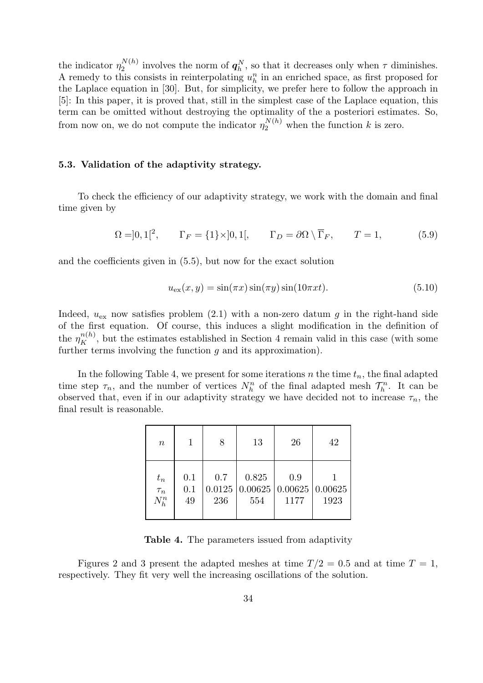the indicator  $\eta_2^{N(h)}$  $\mathcal{L}^{N(h)}_2$  involves the norm of  $q_h^N$ , so that it decreases only when  $\tau$  diminishes. A remedy to this consists in reinterpolating  $u_h^n$  in an enriched space, as first proposed for the Laplace equation in [30]. But, for simplicity, we prefer here to follow the approach in [5]: In this paper, it is proved that, still in the simplest case of the Laplace equation, this term can be omitted without destroying the optimality of the a posteriori estimates. So, from now on, we do not compute the indicator  $\eta_2^{N(h)}$  when the function k is zero.

#### 5.3. Validation of the adaptivity strategy.

To check the efficiency of our adaptivity strategy, we work with the domain and final time given by

$$
\Omega = ]0,1[^{2}, \qquad \Gamma_F = \{1\} \times ]0,1[, \qquad \Gamma_D = \partial \Omega \setminus \overline{\Gamma}_F, \qquad T = 1,
$$
\n(5.9)

and the coefficients given in (5.5), but now for the exact solution

$$
u_{\text{ex}}(x, y) = \sin(\pi x)\sin(\pi y)\sin(10\pi x t). \tag{5.10}
$$

Indeed,  $u_{\text{ex}}$  now satisfies problem (2.1) with a non-zero datum g in the right-hand side of the first equation. Of course, this induces a slight modification in the definition of the  $\eta_K^{n(h)}$ , but the estimates established in Section 4 remain valid in this case (with some further terms involving the function  $q$  and its approximation).

In the following Table 4, we present for some iterations n the time  $t_n$ , the final adapted time step  $\tau_n$ , and the number of vertices  $N_h^n$  of the final adapted mesh  $\mathcal{T}_h^n$ . It can be observed that, even if in our adaptivity strategy we have decided not to increase  $\tau_n$ , the final result is reasonable.

| $\boldsymbol{n}$ |     | 8      | 13      | 26                            | 42   |
|------------------|-----|--------|---------|-------------------------------|------|
| $t_n$            | 0.1 | 0.7    | 0.825   | 0.9                           | 1923 |
| $\tau_n$         | 0.1 | 0.0125 | 0.00625 | $\vert 0.00625 \vert 0.00625$ |      |
| $N_h^n$          | 49  | 236    | 554     | 1177                          |      |

Table 4. The parameters issued from adaptivity

Figures 2 and 3 present the adapted meshes at time  $T/2 = 0.5$  and at time  $T = 1$ , respectively. They fit very well the increasing oscillations of the solution.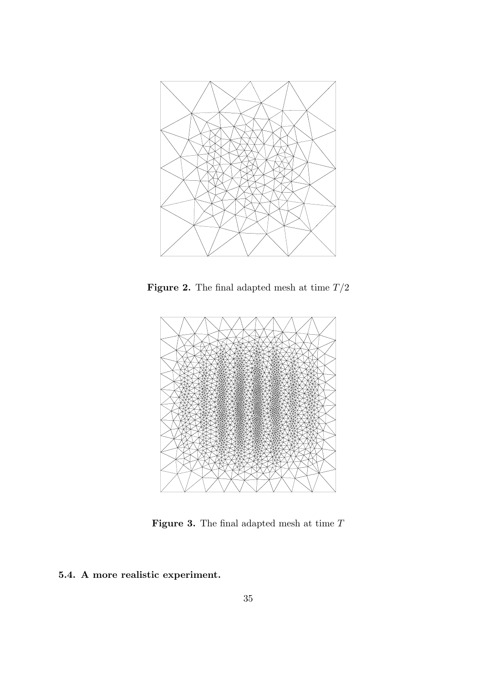

Figure 2. The final adapted mesh at time  $T\slash 2$ 



Figure 3. The final adapted mesh at time  $T$ 

## 5.4. A more realistic experiment.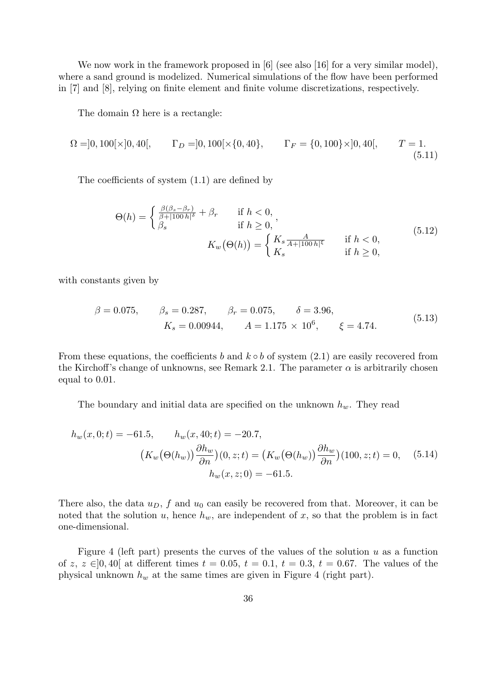We now work in the framework proposed in [6] (see also [16] for a very similar model), where a sand ground is modelized. Numerical simulations of the flow have been performed in [7] and [8], relying on finite element and finite volume discretizations, respectively.

The domain  $\Omega$  here is a rectangle:

$$
\Omega = ]0, 100[\times]0, 40[, \qquad \Gamma_D = ]0, 100[\times\{0, 40\}, \qquad \Gamma_F = \{0, 100\} \times ]0, 40[, \qquad T = 1. \tag{5.11}
$$

The coefficients of system (1.1) are defined by

$$
\Theta(h) = \begin{cases} \frac{\beta(\beta_s - \beta_r)}{\beta + |100h|^{\delta}} + \beta_r & \text{if } h < 0, \\ \beta_s & \text{if } h \ge 0, \end{cases}
$$
  

$$
K_w(\Theta(h)) = \begin{cases} K_s \frac{A}{A + |100h|^{\epsilon}} & \text{if } h < 0, \\ K_s & \text{if } h \ge 0, \end{cases}
$$
  
(5.12)

with constants given by

$$
\beta = 0.075,
$$
  $\beta_s = 0.287,$   $\beta_r = 0.075,$   $\delta = 3.96,$   
\n $K_s = 0.00944,$   $A = 1.175 \times 10^6,$   $\xi = 4.74.$  (5.13)

From these equations, the coefficients b and  $k \circ b$  of system (2.1) are easily recovered from the Kirchoff's change of unknowns, see Remark 2.1. The parameter  $\alpha$  is arbitrarily chosen equal to 0.01.

The boundary and initial data are specified on the unknown  $h_w$ . They read

$$
h_w(x, 0; t) = -61.5, \qquad h_w(x, 40; t) = -20.7,
$$
  

$$
(K_w(\Theta(h_w)) \frac{\partial h_w}{\partial n})(0, z; t) = (K_w(\Theta(h_w)) \frac{\partial h_w}{\partial n})(100, z; t) = 0, \qquad (5.14)
$$
  

$$
h_w(x, z; 0) = -61.5.
$$

There also, the data  $u_D$ , f and  $u_0$  can easily be recovered from that. Moreover, it can be noted that the solution u, hence  $h_w$ , are independent of x, so that the problem is in fact one-dimensional.

Figure 4 (left part) presents the curves of the values of the solution  $u$  as a function of z, z  $\in [0, 40]$  at different times  $t = 0.05$ ,  $t = 0.1$ ,  $t = 0.3$ ,  $t = 0.67$ . The values of the physical unknown  $h_w$  at the same times are given in Figure 4 (right part).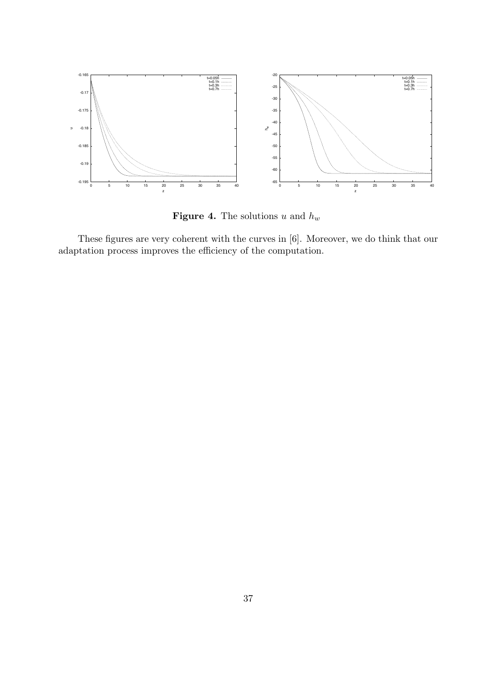

**Figure 4.** The solutions u and  $h_w$ 

These figures are very coherent with the curves in [6]. Moreover, we do think that our adaptation process improves the efficiency of the computation.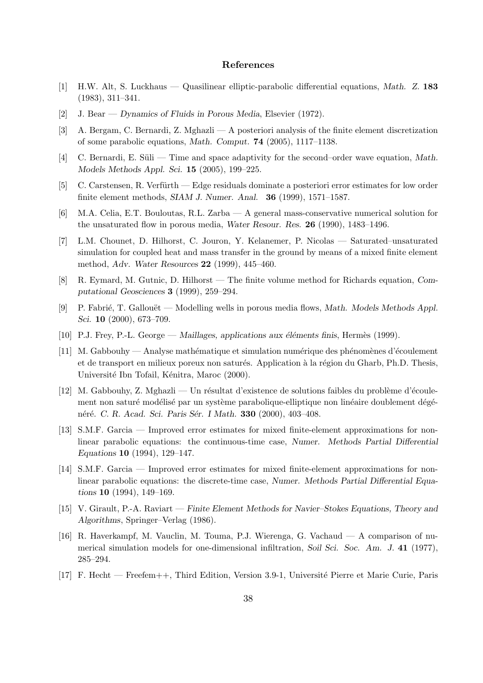#### References

- [1] H.W. Alt, S. Luckhaus Quasilinear elliptic-parabolic differential equations, Math. Z. 183 (1983), 311–341.
- [2] J. Bear Dynamics of Fluids in Porous Media, Elsevier (1972).
- [3] A. Bergam, C. Bernardi, Z. Mghazli A posteriori analysis of the finite element discretization of some parabolic equations, Math. Comput. 74 (2005), 1117–1138.
- [4] C. Bernardi, E. Süli Time and space adaptivity for the second–order wave equation, Math. Models Methods Appl. Sci. 15 (2005), 199–225.
- [5] C. Carstensen, R. Verfürth Edge residuals dominate a posteriori error estimates for low order finite element methods, SIAM J. Numer. Anal. 36 (1999), 1571–1587.
- [6] M.A. Celia, E.T. Bouloutas, R.L. Zarba A general mass-conservative numerical solution for the unsaturated flow in porous media, Water Resour. Res. 26 (1990), 1483–1496.
- [7] L.M. Chounet, D. Hilhorst, C. Jouron, Y. Kelanemer, P. Nicolas Saturated–unsaturated simulation for coupled heat and mass transfer in the ground by means of a mixed finite element method, Adv. Water Resources 22 (1999), 445–460.
- [8] R. Eymard, M. Gutnic, D. Hilhorst The finite volume method for Richards equation, Computational Geosciences 3 (1999), 259–294.
- [9] P. Fabrié, T. Gallouët Modelling wells in porous media flows, Math. Models Methods Appl. Sci. **10** (2000), 673–709.
- [10] P.J. Frey, P.-L. George Maillages, applications aux éléments finis, Hermès (1999).
- [11] M. Gabbouhy Analyse mathématique et simulation numérique des phénomènes d'écoulement et de transport en milieux poreux non saturés. Application à la région du Gharb, Ph.D. Thesis, Université Ibn Tofail, Kénitra, Maroc (2000).
- $[12]$  M. Gabbouhy, Z. Mghazli Un résultat d'existence de solutions faibles du problème d'écoulement non saturé modélisé par un système parabolique-elliptique non linéaire doublement dégénéré. C. R. Acad. Sci. Paris Sér. I Math. **330** (2000), 403–408.
- [13] S.M.F. Garcia Improved error estimates for mixed finite-element approximations for nonlinear parabolic equations: the continuous-time case, Numer. Methods Partial Differential Equations 10 (1994), 129–147.
- [14] S.M.F. Garcia Improved error estimates for mixed finite-element approximations for nonlinear parabolic equations: the discrete-time case, Numer. Methods Partial Differential Equations 10 (1994), 149–169.
- [15] V. Girault, P.-A. Raviart Finite Element Methods for Navier–Stokes Equations, Theory and Algorithms, Springer–Verlag (1986).
- [16] R. Haverkampf, M. Vauclin, M. Touma, P.J. Wierenga, G. Vachaud A comparison of numerical simulation models for one-dimensional infiltration, Soil Sci. Soc. Am. J. 41 (1977), 285–294.
- [17] F. Hecht Freefem++, Third Edition, Version 3.9-1, Universit´e Pierre et Marie Curie, Paris